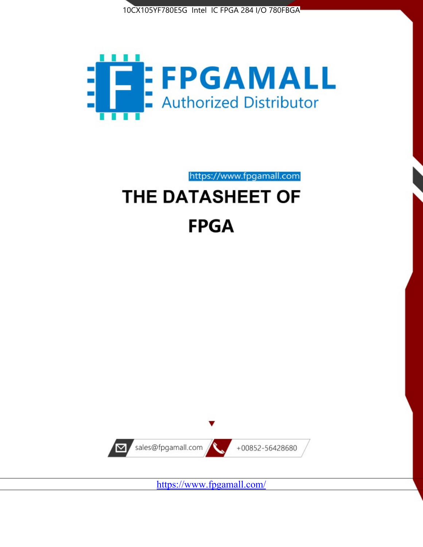



# https://www.fpgamall.com THE DATASHEET OF

# **FPGA**



<https://www.fpgamall.com/>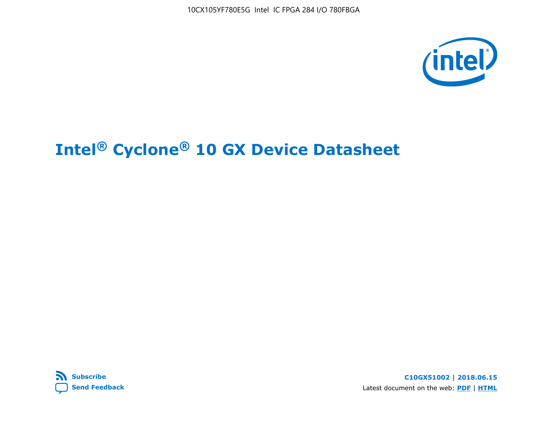



**C10GX51002 | 2018.06.15** Latest document on the web: **[PDF](https://www.altera.com/en_US/pdfs/literature/hb/cyclone-10/c10gx-51002.pdf)** | **[HTML](https://www.altera.com/documentation/muf1488511478825.html)**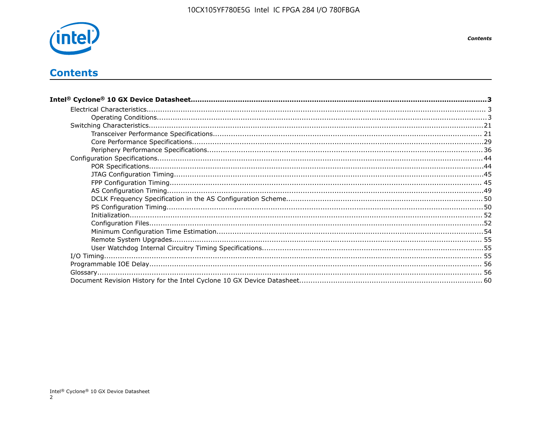

# **Contents**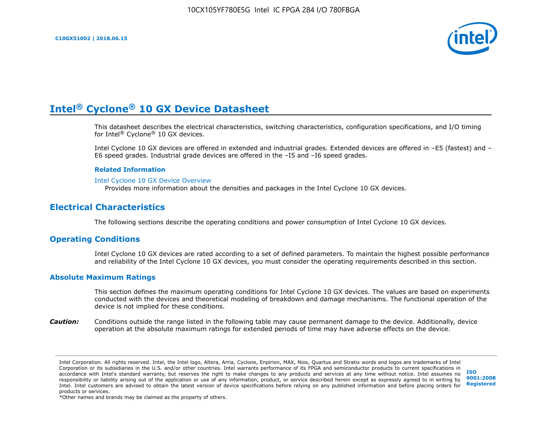

This datasheet describes the electrical characteristics, switching characteristics, configuration specifications, and I/O timing for Intel® Cyclone® 10 GX devices.

Intel Cyclone 10 GX devices are offered in extended and industrial grades. Extended devices are offered in –E5 (fastest) and – E6 speed grades. Industrial grade devices are offered in the –I5 and –I6 speed grades.

#### **Related Information**

#### [Intel Cyclone 10 GX Device Overview](https://www.altera.com/documentation/grc1488182989852.html#mvd1484026010948)

Provides more information about the densities and packages in the Intel Cyclone 10 GX devices.

## **Electrical Characteristics**

The following sections describe the operating conditions and power consumption of Intel Cyclone 10 GX devices.

#### **Operating Conditions**

Intel Cyclone 10 GX devices are rated according to a set of defined parameters. To maintain the highest possible performance and reliability of the Intel Cyclone 10 GX devices, you must consider the operating requirements described in this section.

#### **Absolute Maximum Ratings**

This section defines the maximum operating conditions for Intel Cyclone 10 GX devices. The values are based on experiments conducted with the devices and theoretical modeling of breakdown and damage mechanisms. The functional operation of the device is not implied for these conditions.

*Caution:* Conditions outside the range listed in the following table may cause permanent damage to the device. Additionally, device operation at the absolute maximum ratings for extended periods of time may have adverse effects on the device.

**[ISO](http://www.altera.com/support/devices/reliability/certifications/rel-certifications.html) [9001:2008](http://www.altera.com/support/devices/reliability/certifications/rel-certifications.html) [Registered](http://www.altera.com/support/devices/reliability/certifications/rel-certifications.html)**

\*Other names and brands may be claimed as the property of others.

Intel Corporation. All rights reserved. Intel, the Intel logo, Altera, Arria, Cyclone, Enpirion, MAX, Nios, Quartus and Stratix words and logos are trademarks of Intel Corporation or its subsidiaries in the U.S. and/or other countries. Intel warrants performance of its FPGA and semiconductor products to current specifications in accordance with Intel's standard warranty, but reserves the right to make changes to any products and services at any time without notice. Intel assumes no responsibility or liability arising out of the application or use of any information, product, or service described herein except as expressly agreed to in writing by Intel. Intel customers are advised to obtain the latest version of device specifications before relying on any published information and before placing orders for products or services.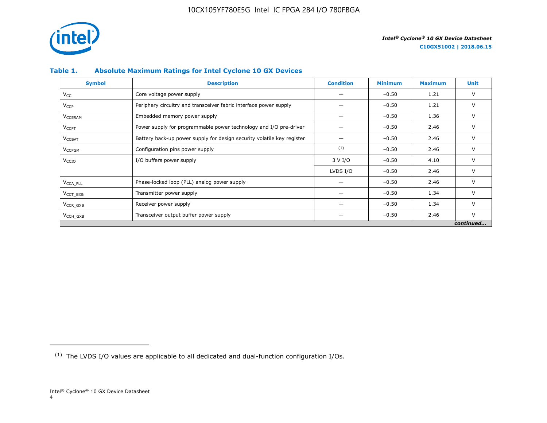

## **Table 1. Absolute Maximum Ratings for Intel Cyclone 10 GX Devices**

| <b>Symbol</b>             | <b>Description</b>                                                     | <b>Condition</b> | <b>Minimum</b> | <b>Maximum</b> | Unit      |
|---------------------------|------------------------------------------------------------------------|------------------|----------------|----------------|-----------|
| $V_{CC}$                  | Core voltage power supply                                              |                  | $-0.50$        | 1.21           | V         |
| <b>V<sub>CCP</sub></b>    | Periphery circuitry and transceiver fabric interface power supply      |                  | $-0.50$        | 1.21           | V         |
| <b>V<sub>CCERAM</sub></b> | Embedded memory power supply                                           |                  | $-0.50$        | 1.36           | $\vee$    |
| $V_{\text{CCPT}}$         | Power supply for programmable power technology and I/O pre-driver      |                  | $-0.50$        | 2.46           | V         |
| $V_{\text{CCBAT}}$        | Battery back-up power supply for design security volatile key register |                  | $-0.50$        | 2.46           | V         |
| V <sub>CCPGM</sub>        | Configuration pins power supply                                        | (1)              | $-0.50$        | 2.46           | V         |
| V <sub>CCIO</sub>         | I/O buffers power supply                                               | 3 V I/O          | $-0.50$        | 4.10           | $\vee$    |
|                           |                                                                        | LVDS I/O         | $-0.50$        | 2.46           | $\vee$    |
| V <sub>CCA PLL</sub>      | Phase-locked loop (PLL) analog power supply                            |                  | $-0.50$        | 2.46           | V         |
| $VCCT$ GXB                | Transmitter power supply                                               |                  | $-0.50$        | 1.34           | V         |
| $V_{CCR_GXB}$             | Receiver power supply                                                  |                  | $-0.50$        | 1.34           | $\vee$    |
| $V_{\text{CCH_GXB}}$      | Transceiver output buffer power supply                                 |                  | $-0.50$        | 2.46           | $\vee$    |
|                           |                                                                        |                  |                |                | continued |

<sup>(1)</sup> The LVDS I/O values are applicable to all dedicated and dual-function configuration I/Os.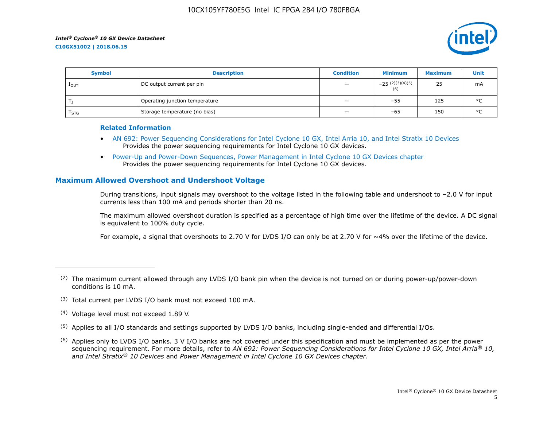

| <b>Symbol</b>    | <b>Description</b>             | <b>Condition</b>         | <b>Minimum</b>           | <b>Maximum</b> | Unit    |
|------------------|--------------------------------|--------------------------|--------------------------|----------------|---------|
| 1 <sub>OUT</sub> | DC output current per pin      | $\qquad \qquad -$        | $-25(2)(3)(4)(5)$<br>(6) | 25             | mA      |
|                  | Operating junction temperature | $\qquad \qquad -$        | $-55$                    | 125            | $\circ$ |
| $I_{STG}$        | Storage temperature (no bias)  | $\overline{\phantom{0}}$ | -65                      | 150            | $\circ$ |

#### **Related Information**

- [AN 692: Power Sequencing Considerations for Intel Cyclone 10 GX, Intel Arria 10, and Intel Stratix 10 Devices](https://www.altera.com/documentation/nik1412640107351.html#nik1412640086729) Provides the power sequencing requirements for Intel Cyclone 10 GX devices.
- [Power-Up and Power-Down Sequences, Power Management in Intel Cyclone 10 GX Devices chapter](https://www.altera.com/documentation/vua1487061384661.html#qel1490343470589) Provides the power sequencing requirements for Intel Cyclone 10 GX devices.

## **Maximum Allowed Overshoot and Undershoot Voltage**

During transitions, input signals may overshoot to the voltage listed in the following table and undershoot to –2.0 V for input currents less than 100 mA and periods shorter than 20 ns.

The maximum allowed overshoot duration is specified as a percentage of high time over the lifetime of the device. A DC signal is equivalent to 100% duty cycle.

For example, a signal that overshoots to 2.70 V for LVDS I/O can only be at 2.70 V for ~4% over the lifetime of the device.

- (3) Total current per LVDS I/O bank must not exceed 100 mA.
- (4) Voltage level must not exceed 1.89 V.
- (5) Applies to all I/O standards and settings supported by LVDS I/O banks, including single-ended and differential I/Os.
- $(6)$  Applies only to LVDS I/O banks. 3 V I/O banks are not covered under this specification and must be implemented as per the power sequencing requirement. For more details, refer to *AN 692: Power Sequencing Considerations for Intel Cyclone 10 GX, Intel Arria® 10, and Intel Stratix® 10 Devices* and *Power Management in Intel Cyclone 10 GX Devices chapter*.

 $(2)$  The maximum current allowed through any LVDS I/O bank pin when the device is not turned on or during power-up/power-down conditions is 10 mA.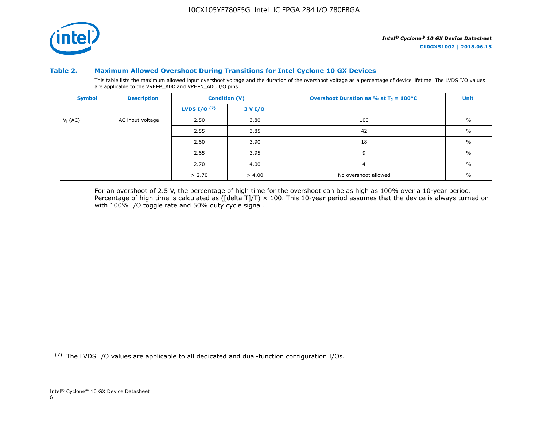

#### **Table 2. Maximum Allowed Overshoot During Transitions for Intel Cyclone 10 GX Devices**

This table lists the maximum allowed input overshoot voltage and the duration of the overshoot voltage as a percentage of device lifetime. The LVDS I/O values are applicable to the VREFP\_ADC and VREFN\_ADC I/O pins.

| <b>Symbol</b> | <b>Description</b> |                       | <b>Condition (V)</b> | Overshoot Duration as % at $T_1 = 100^{\circ}C$ | Unit          |
|---------------|--------------------|-----------------------|----------------------|-------------------------------------------------|---------------|
|               |                    | <b>LVDS I/O</b> $(7)$ | 3 V I/O              |                                                 |               |
| $V_i$ (AC)    | AC input voltage   | 2.50                  | 3.80                 | 100                                             | $\frac{0}{0}$ |
|               |                    | 2.55                  | 3.85                 | 42                                              | $\%$          |
|               |                    | 2.60                  | 3.90                 | 18                                              | $\frac{0}{0}$ |
|               |                    | 2.65                  | 3.95                 | 9                                               | $\%$          |
|               |                    | 2.70                  | 4.00                 | $\overline{a}$                                  | $\%$          |
|               |                    | > 2.70                | > 4.00               | No overshoot allowed                            | $\%$          |

For an overshoot of 2.5 V, the percentage of high time for the overshoot can be as high as 100% over a 10-year period. Percentage of high time is calculated as ([delta T]/T)  $\times$  100. This 10-year period assumes that the device is always turned on with 100% I/O toggle rate and 50% duty cycle signal.

<sup>(7)</sup> The LVDS I/O values are applicable to all dedicated and dual-function configuration I/Os.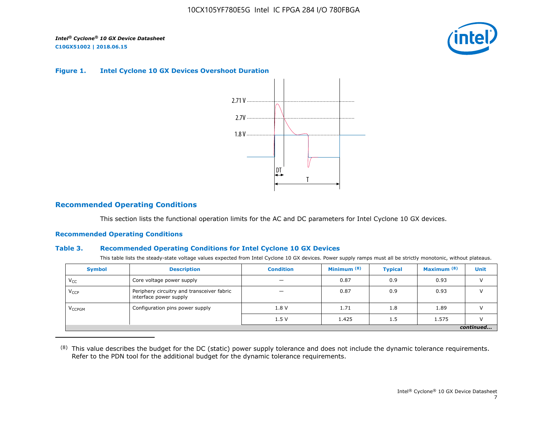

#### **Figure 1. Intel Cyclone 10 GX Devices Overshoot Duration**



## **Recommended Operating Conditions**

This section lists the functional operation limits for the AC and DC parameters for Intel Cyclone 10 GX devices.

#### **Recommended Operating Conditions**

#### **Table 3. Recommended Operating Conditions for Intel Cyclone 10 GX Devices**

This table lists the steady-state voltage values expected from Intel Cyclone 10 GX devices. Power supply ramps must all be strictly monotonic, without plateaus.

| <b>Symbol</b>            | <b>Description</b>                                                   | <b>Condition</b> | Minimum $(8)$ | <b>Typical</b> | Maximum <sup>(8)</sup> | <b>Unit</b> |  |  |  |  |  |
|--------------------------|----------------------------------------------------------------------|------------------|---------------|----------------|------------------------|-------------|--|--|--|--|--|
| $V_{CC}$                 | Core voltage power supply                                            | -                | 0.87          | 0.9            | 0.93                   |             |  |  |  |  |  |
| $V_{CCP}$                | Periphery circuitry and transceiver fabric<br>interface power supply |                  | 0.87          | 0.9            | 0.93                   |             |  |  |  |  |  |
| <b>V<sub>CCPGM</sub></b> | Configuration pins power supply                                      | 1.8V             | 1.71          | 1.8            | 1.89                   |             |  |  |  |  |  |
|                          |                                                                      | 1.5V             | 1.425         | 1.5            | 1.575                  |             |  |  |  |  |  |
|                          | continued                                                            |                  |               |                |                        |             |  |  |  |  |  |

<sup>(8)</sup> This value describes the budget for the DC (static) power supply tolerance and does not include the dynamic tolerance requirements. Refer to the PDN tool for the additional budget for the dynamic tolerance requirements.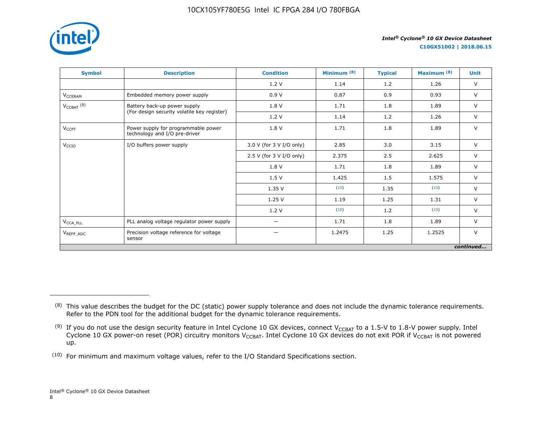

**C10GX51002 | 2018.06.15**

| <b>Symbol</b>                     | <b>Description</b>                                                   | <b>Condition</b>         | Minimum <sup>(8)</sup> | <b>Typical</b> | Maximum <sup>(8)</sup> | <b>Unit</b> |
|-----------------------------------|----------------------------------------------------------------------|--------------------------|------------------------|----------------|------------------------|-------------|
|                                   |                                                                      | 1.2V                     | 1.14                   | 1.2            | 1.26                   | $\vee$      |
| <b>V<sub>CCERAM</sub></b>         | Embedded memory power supply                                         | 0.9V                     | 0.87                   | 0.9            | 0.93                   | $\vee$      |
| $V_{\text{CCBAT}}$ <sup>(9)</sup> | Battery back-up power supply                                         | 1.8 V                    | 1.71                   | 1.8            | 1.89                   | $\vee$      |
|                                   | (For design security volatile key register)                          | 1.2V                     | 1.14                   | 1.2            | 1.26                   | $\vee$      |
| $V_{CCPT}$                        | Power supply for programmable power<br>technology and I/O pre-driver | 1.8 V                    | 1.71                   | 1.8            | 1.89                   | $\vee$      |
| V <sub>CCIO</sub>                 | I/O buffers power supply                                             | 3.0 V (for 3 V I/O only) | 2.85                   | 3.0            | 3.15                   | $\vee$      |
|                                   |                                                                      | 2.5 V (for 3 V I/O only) | 2.375                  | 2.5            | 2.625                  | $\vee$      |
|                                   |                                                                      | 1.8 V                    | 1.71                   | 1.8            | 1.89                   | $\vee$      |
|                                   |                                                                      | 1.5V                     | 1.425                  | 1.5            | 1.575                  | $\vee$      |
|                                   |                                                                      | 1.35 V                   | (10)                   | 1.35           | (10)                   | $\vee$      |
|                                   |                                                                      | 1.25V                    | 1.19                   | 1.25           | 1.31                   | $\vee$      |
|                                   |                                                                      | 1.2 V                    | (10)                   | 1.2            | (10)                   | $\vee$      |
| $V_{\text{CCA\_PLL}}$             | PLL analog voltage regulator power supply                            | —                        | 1.71                   | 1.8            | 1.89                   | $\vee$      |
| V <sub>REFP ADC</sub>             | Precision voltage reference for voltage<br>sensor                    | —                        | 1.2475                 | 1.25           | 1.2525                 | $\vee$      |
|                                   |                                                                      |                          |                        |                |                        | continued   |

<sup>&</sup>lt;sup>(8)</sup> This value describes the budget for the DC (static) power supply tolerance and does not include the dynamic tolerance requirements. Refer to the PDN tool for the additional budget for the dynamic tolerance requirements.

 $^{(9)}$  If you do not use the design security feature in Intel Cyclone 10 GX devices, connect V $_{\rm CCBAT}$  to a 1.5-V to 1.8-V power supply. Intel Cyclone 10 GX power-on reset (POR) circuitry monitors V $_{\rm CCBAT}$ . Intel Cyclone 10 GX devices do not exit POR if V $_{\rm CCBAT}$  is not powered up.

 $(10)$  For minimum and maximum voltage values, refer to the I/O Standard Specifications section.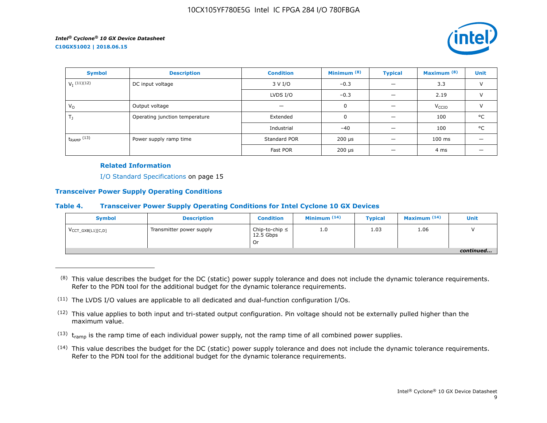

| <b>Symbol</b>   | <b>Description</b>             | <b>Condition</b> | Minimum <sup>(8)</sup>    | <b>Typical</b> | Maximum <sup>(8)</sup> | <b>Unit</b>   |
|-----------------|--------------------------------|------------------|---------------------------|----------------|------------------------|---------------|
| $V_I$ (11)(12)  | DC input voltage               | 3 V I/O          | $-0.3$                    |                | 3.3                    | $\vee$        |
|                 |                                | LVDS $I/O$       | $-0.3$                    |                | 2.19                   | $\vee$        |
| $V_{\Omega}$    | Output voltage                 | 0<br>–           |                           |                |                        | $\mathcal{U}$ |
| $T_{\rm J}$     | Operating junction temperature | Extended         | $\mathbf 0$               |                | 100                    | °C            |
|                 |                                | Industrial       | $-40$                     |                | 100                    | °C            |
| $t_{RAMP}$ (13) | Power supply ramp time         | Standard POR     | $200 \text{ }\mu\text{s}$ |                | $100$ ms               |               |
|                 |                                | Fast POR         | $200 \text{ }\mu\text{s}$ |                | 4 ms                   |               |

#### **Related Information**

I/O Standard Specifications on page 15

#### **Transceiver Power Supply Operating Conditions**

#### **Table 4. Transceiver Power Supply Operating Conditions for Intel Cyclone 10 GX Devices**

| <b>Symbol</b>                 | <b>Description</b>       | <b>Condition</b>                         | Minimum $(14)$ | <b>Typical</b> | Maximum $(14)$ | Unit      |
|-------------------------------|--------------------------|------------------------------------------|----------------|----------------|----------------|-----------|
| $V_{\text{CCT_GXB[L1][C,D]}}$ | Transmitter power supply | Chip-to-chip $\leq$<br>12.5 Gbps<br>. Or | 1.0            | 1.03           | 1.06           |           |
|                               |                          |                                          |                |                |                | continued |

 $(8)$  This value describes the budget for the DC (static) power supply tolerance and does not include the dynamic tolerance requirements. Refer to the PDN tool for the additional budget for the dynamic tolerance requirements.

- $(13)$  t<sub>ramp</sub> is the ramp time of each individual power supply, not the ramp time of all combined power supplies.
- (14) This value describes the budget for the DC (static) power supply tolerance and does not include the dynamic tolerance requirements. Refer to the PDN tool for the additional budget for the dynamic tolerance requirements.

 $(11)$  The LVDS I/O values are applicable to all dedicated and dual-function configuration I/Os.

 $(12)$  This value applies to both input and tri-stated output configuration. Pin voltage should not be externally pulled higher than the maximum value.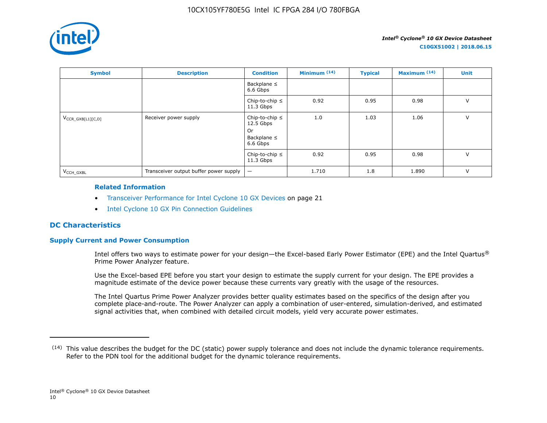

| <b>Symbol</b>          | <b>Description</b>                     | <b>Condition</b>                                                         | Minimum $(14)$ | <b>Typical</b> | Maximum $(14)$ | Unit   |
|------------------------|----------------------------------------|--------------------------------------------------------------------------|----------------|----------------|----------------|--------|
|                        |                                        | Backplane $\leq$<br>6.6 Gbps                                             |                |                |                |        |
|                        |                                        | Chip-to-chip $\leq$<br>$11.3$ Gbps                                       | 0.92           | 0.95           | 0.98           | $\vee$ |
| $V_{CCR_GXB[L1][C,D]}$ | Receiver power supply                  | Chip-to-chip $\leq$<br>$12.5$ Gbps<br>0r<br>Backplane $\leq$<br>6.6 Gbps | 1.0            | 1.03           | 1.06           | V      |
|                        |                                        | Chip-to-chip $\leq$<br>$11.3$ Gbps                                       | 0.92           | 0.95           | 0.98           | $\vee$ |
| V <sub>CCH GXBL</sub>  | Transceiver output buffer power supply | $\qquad \qquad -$                                                        | 1.710          | 1.8            | 1.890          | $\vee$ |

#### **Related Information**

- Transceiver Performance for Intel Cyclone 10 GX Devices on page 21
- [Intel Cyclone 10 GX Pin Connection Guidelines](https://documentation.altera.com/#/link/osf1485840198234/hjb1485915147847)

## **DC Characteristics**

## **Supply Current and Power Consumption**

Intel offers two ways to estimate power for your design—the Excel-based Early Power Estimator (EPE) and the Intel Quartus® Prime Power Analyzer feature.

Use the Excel-based EPE before you start your design to estimate the supply current for your design. The EPE provides a magnitude estimate of the device power because these currents vary greatly with the usage of the resources.

The Intel Quartus Prime Power Analyzer provides better quality estimates based on the specifics of the design after you complete place-and-route. The Power Analyzer can apply a combination of user-entered, simulation-derived, and estimated signal activities that, when combined with detailed circuit models, yield very accurate power estimates.

 $(14)$  This value describes the budget for the DC (static) power supply tolerance and does not include the dynamic tolerance requirements. Refer to the PDN tool for the additional budget for the dynamic tolerance requirements.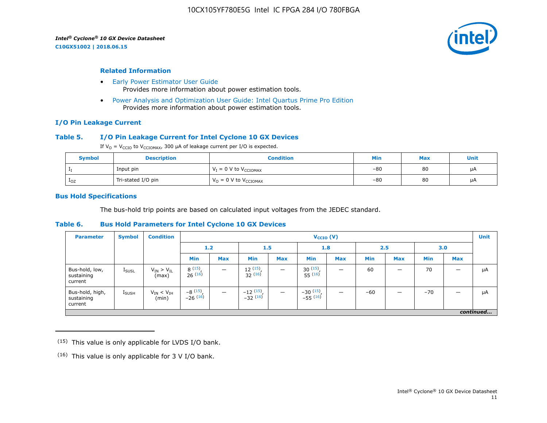**C10GX51002 | 2018.06.15**



#### **Related Information**

- [Early Power Estimator User Guide](https://www.altera.com/documentation/mhi1422370348549.html#mhi1422300784510) Provides more information about power estimation tools.
- [Power Analysis and Optimization User Guide: Intel Quartus Prime Pro Edition](https://www.altera.com/documentation/osq1513989409475.html#mwh1410384023666) Provides more information about power estimation tools.

#### **I/O Pin Leakage Current**

#### **Table 5. I/O Pin Leakage Current for Intel Cyclone 10 GX Devices**

If  $V_0 = V_{CCIO}$  to  $V_{CCIOMAX}$ , 300 µA of leakage current per I/O is expected.

| <b>Symbol</b>   | <b>Description</b> | <b>Condition</b>                    | Min   | <b>Max</b> | Unit |
|-----------------|--------------------|-------------------------------------|-------|------------|------|
|                 | Input pin          | $V_I = 0$ V to $V_{CCIOMAX}$        | $-80$ | 80         | μA   |
| 1 <sub>OZ</sub> | Tri-stated I/O pin | $V_0 = 0 V$ to $V_{\text{CCIOMAX}}$ | $-80$ | 80         | μA   |

#### **Bus Hold Specifications**

The bus-hold trip points are based on calculated input voltages from the JEDEC standard.

#### **Table 6. Bus Hold Parameters for Intel Cyclone 10 GX Devices**

| <b>Parameter</b>                         | <b>Symbol</b>     | <b>Condition</b>             |                       | $V_{CCIO} (V)$           |                                     |            |                             |                          |            |            |            |            | <b>Unit</b> |
|------------------------------------------|-------------------|------------------------------|-----------------------|--------------------------|-------------------------------------|------------|-----------------------------|--------------------------|------------|------------|------------|------------|-------------|
|                                          |                   |                              |                       | 1.2<br>1.5               |                                     |            | 1.8                         |                          | 2.5        |            | 3.0        |            |             |
|                                          |                   |                              | <b>Min</b>            | <b>Max</b>               | <b>Min</b>                          | <b>Max</b> | <b>Min</b>                  | <b>Max</b>               | <b>Min</b> | <b>Max</b> | <b>Min</b> | <b>Max</b> |             |
| Bus-hold, low,<br>sustaining<br>current  | <b>I</b> SUSL     | $V_{IN} > V_{IL}$<br>(max)   | 8(15)<br>26(16)       | $\overline{\phantom{a}}$ | $\frac{12}{32}$ $\frac{(15)}{(16)}$ |            | $30^{(15)}$<br>$55^{(16)}$  | -                        | 60         | –          | 70         |            | μA          |
| Bus-hold, high,<br>sustaining<br>current | $I_{\text{SUSH}}$ | $V_{IN}$ < $V_{IH}$<br>(min) | $-8(15)$<br>$-26(16)$ | $\overline{\phantom{0}}$ | $-12$ $(15)$<br>$-32$ $(16)$        |            | $-30(15)$ ,<br>$-55^{(16)}$ | $\overline{\phantom{0}}$ | $-60$      | –          | $-70$      |            | μA          |
|                                          |                   |                              |                       |                          |                                     |            |                             |                          |            |            |            |            | continued   |

 $(15)$  This value is only applicable for LVDS I/O bank.

 $(16)$  This value is only applicable for 3 V I/O bank.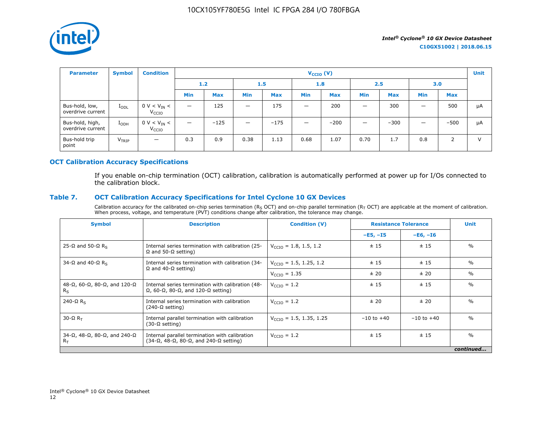

| <b>Parameter</b>                     | <b>Symbol</b>     | <b>Condition</b>                      |                          |            |                                 |            | $V_{\text{CCIO}}(V)$     |            |            |            |                          |            | <b>Unit</b> |
|--------------------------------------|-------------------|---------------------------------------|--------------------------|------------|---------------------------------|------------|--------------------------|------------|------------|------------|--------------------------|------------|-------------|
|                                      |                   |                                       | 1.2                      |            | 1.5                             |            | 1.8                      |            | 2.5        |            | 3.0                      |            |             |
|                                      |                   |                                       | <b>Min</b>               | <b>Max</b> | <b>Min</b>                      | <b>Max</b> | Min                      | <b>Max</b> | <b>Min</b> | <b>Max</b> | <b>Min</b>               | <b>Max</b> |             |
| Bus-hold, low,<br>overdrive current  | $I_{ODL}$         | $0 V < V_{IN} <$<br>V <sub>CCIO</sub> | $\overline{\phantom{0}}$ | 125        |                                 | 175        | $\overline{\phantom{0}}$ | 200        |            | 300        |                          | 500        | μA          |
| Bus-hold, high,<br>overdrive current | $I_{ODH}$         | $0 V < V_{IN} <$<br>V <sub>CCIO</sub> | —                        | $-125$     | $\hspace{0.1mm}-\hspace{0.1mm}$ | $-175$     | $\overline{\phantom{m}}$ | $-200$     |            | $-300$     | $\overline{\phantom{0}}$ | $-500$     | μA          |
| Bus-hold trip<br>point               | V <sub>TRIP</sub> | $\overline{\phantom{0}}$              | 0.3                      | 0.9        | 0.38                            | 1.13       | 0.68                     | 1.07       | 0.70       | 1.7        | 0.8                      | 2          | $\vee$      |

#### **OCT Calibration Accuracy Specifications**

If you enable on-chip termination (OCT) calibration, calibration is automatically performed at power up for I/Os connected to the calibration block.

## **Table 7. OCT Calibration Accuracy Specifications for Intel Cyclone 10 GX Devices**

Calibration accuracy for the calibrated on-chip series termination ( $R_S$  OCT) and on-chip parallel termination ( $R_T$  OCT) are applicable at the moment of calibration. When process, voltage, and temperature (PVT) conditions change after calibration, the tolerance may change.

| <b>Symbol</b>                                                       | <b>Description</b>                                                                                                       | <b>Condition (V)</b>                |                | <b>Resistance Tolerance</b> |               |  |
|---------------------------------------------------------------------|--------------------------------------------------------------------------------------------------------------------------|-------------------------------------|----------------|-----------------------------|---------------|--|
|                                                                     |                                                                                                                          |                                     | $-E5, -15$     | $-E6, -I6$                  |               |  |
| 25-Ω and 50-Ω R <sub>s</sub>                                        | Internal series termination with calibration (25-<br>$\Omega$ and 50- $\Omega$ setting)                                  | $V_{\text{CCIO}} = 1.8, 1.5, 1.2$   | ± 15           | ±15                         | $\frac{0}{0}$ |  |
| 34-Ω and 40-Ω R <sub>s</sub>                                        | $V_{\text{CCD}} = 1.5, 1.25, 1.2$<br>Internal series termination with calibration (34-                                   |                                     | ±15            | ±15                         | $\%$          |  |
|                                                                     | $\Omega$ and 40- $\Omega$ setting)                                                                                       | $V_{\text{CCIO}} = 1.35$            | ± 20           | ± 20                        | $\%$          |  |
| 48-Ω, 60-Ω, 80-Ω, and 120-Ω<br>$R_S$                                | Internal series termination with calibration (48-<br>$\Omega$ , 60- $\Omega$ , 80- $\Omega$ , and 120- $\Omega$ setting) | $V_{\text{CCIO}} = 1.2$             | ±15            | ±15                         | $\frac{0}{0}$ |  |
| $240 - \Omega$ R <sub>s</sub>                                       | Internal series termination with calibration<br>$(240-\Omega \text{ setting})$                                           | $V_{\text{CCIO}} = 1.2$             | ± 20           | ± 20                        | $\frac{0}{0}$ |  |
| $30 - \Omega R$                                                     | Internal parallel termination with calibration<br>$(30-\Omega \text{ setting})$                                          | $V_{\text{CCTO}} = 1.5, 1.35, 1.25$ | $-10$ to $+40$ | $-10$ to $+40$              | $\frac{0}{0}$ |  |
| $34-\Omega$ , $48-\Omega$ , $80-\Omega$ , and $240-\Omega$<br>$R_T$ | Internal parallel termination with calibration<br>$(34-\Omega, 48-\Omega, 80-\Omega,$ and $240-\Omega$ setting)          | $V_{\text{CCIO}} = 1.2$             | ±15            | ±15                         | $\frac{0}{0}$ |  |
|                                                                     |                                                                                                                          |                                     |                |                             | continued     |  |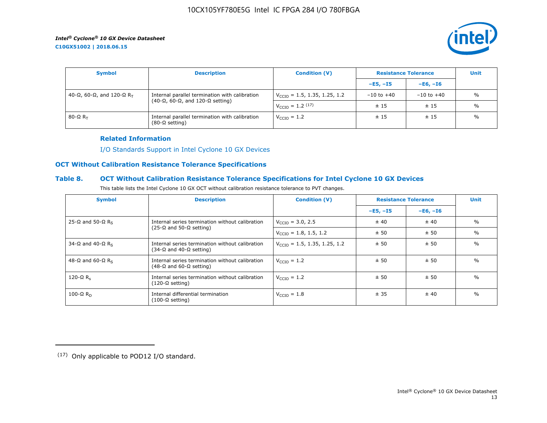**C10GX51002 | 2018.06.15**



| <b>Symbol</b>               | <b>Description</b><br><b>Resistance Tolerance</b><br><b>Condition (V)</b>       |                                          |                | <b>Unit</b>    |               |
|-----------------------------|---------------------------------------------------------------------------------|------------------------------------------|----------------|----------------|---------------|
|                             |                                                                                 |                                          | $-E5, -15$     | $-E6. -I6$     |               |
| 40-Ω, 60-Ω, and 120-Ω $R_T$ | Internal parallel termination with calibration                                  | $V_{\text{CCIO}} = 1.5, 1.35, 1.25, 1.2$ | $-10$ to $+40$ | $-10$ to $+40$ | $\frac{0}{0}$ |
|                             | $(40-\Omega, 60-\Omega,$ and 120- $\Omega$ setting)                             | $V_{\text{CCIO}} = 1.2 \, (17)$          | ±15            | ±15            | $\%$          |
| 80-Ω $R_{\rm T}$            | Internal parallel termination with calibration<br>$(80-\Omega \text{ setting})$ | $V_{\text{CCIO}} = 1.2$                  | ±15            | ±15            | $\%$          |

#### **Related Information**

[I/O Standards Support in Intel Cyclone 10 GX Devices](https://www.altera.com/documentation/vua1487061384661.html#ofz1487753759953)

## **OCT Without Calibration Resistance Tolerance Specifications**

#### **Table 8. OCT Without Calibration Resistance Tolerance Specifications for Intel Cyclone 10 GX Devices**

| This table lists the Intel Cyclone 10 GX OCT without calibration resistance tolerance to PVT changes. |  |
|-------------------------------------------------------------------------------------------------------|--|
|-------------------------------------------------------------------------------------------------------|--|

| <b>Symbol</b>                | <b>Description</b>                                                                         | <b>Condition (V)</b>                     | <b>Resistance Tolerance</b> |            | <b>Unit</b>   |
|------------------------------|--------------------------------------------------------------------------------------------|------------------------------------------|-----------------------------|------------|---------------|
|                              |                                                                                            |                                          | $-E5, -I5$                  | $-E6, -I6$ |               |
| 25-Ω and 50-Ω R <sub>s</sub> | Internal series termination without calibration                                            | $V_{\text{CTO}} = 3.0, 2.5$              | ± 40                        | ± 40       | $\frac{0}{0}$ |
|                              | $(25-\Omega)$ and 50- $\Omega$ setting)                                                    | $V_{\text{CCIO}} = 1.8, 1.5, 1.2$        | ± 50                        | ± 50       | $\frac{0}{0}$ |
| 34-Ω and 40-Ω R <sub>s</sub> | Internal series termination without calibration<br>$(34-\Omega)$ and 40-Ω setting)         | $V_{\text{CCIO}} = 1.5, 1.35, 1.25, 1.2$ | ± 50                        | ± 50       | $\frac{0}{0}$ |
| 48-Ω and 60-Ω R <sub>s</sub> | Internal series termination without calibration<br>$(48-\Omega)$ and 60- $\Omega$ setting) | $V_{\text{CTO}} = 1.2$                   | ± 50                        | ± 50       | $\frac{0}{0}$ |
| 120-Ω $R_c$                  | Internal series termination without calibration<br>$(120-\Omega \text{ setting})$          | $V_{\text{CTO}} = 1.2$                   | ± 50                        | ± 50       | $\frac{0}{0}$ |
| 100-Ω $R_D$                  | Internal differential termination<br>$(100-\Omega \text{ setting})$                        | $V_{\text{CCIO}} = 1.8$                  | ± 35                        | ±40        | $\frac{0}{0}$ |

<sup>(17)</sup> Only applicable to POD12 I/O standard.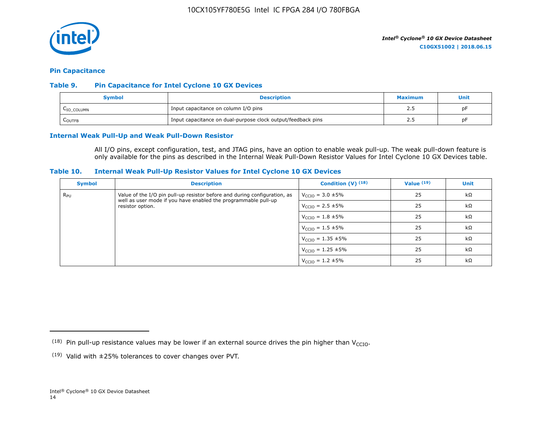

#### **Pin Capacitance**

#### **Table 9. Pin Capacitance for Intel Cyclone 10 GX Devices**

| Symbol                  | <b>Description</b>                                           | <b>Maximum</b> | Unit |
|-------------------------|--------------------------------------------------------------|----------------|------|
| L <sub>IO</sub> _COLUMN | Input capacitance on column I/O pins                         |                | рF   |
| <b>COUTFB</b>           | Input capacitance on dual-purpose clock output/feedback pins | <u>_</u>       | рF   |

#### **Internal Weak Pull-Up and Weak Pull-Down Resistor**

All I/O pins, except configuration, test, and JTAG pins, have an option to enable weak pull-up. The weak pull-down feature is only available for the pins as described in the Internal Weak Pull-Down Resistor Values for Intel Cyclone 10 GX Devices table.

#### **Table 10. Internal Weak Pull-Up Resistor Values for Intel Cyclone 10 GX Devices**

| <b>Symbol</b> | <b>Description</b>                                                                                                                          | Condition $(V)$ $(18)$           | Value $(19)$ | <b>Unit</b> |
|---------------|---------------------------------------------------------------------------------------------------------------------------------------------|----------------------------------|--------------|-------------|
| $R_{\rm PU}$  | Value of the I/O pin pull-up resistor before and during configuration, as<br>well as user mode if you have enabled the programmable pull-up | $V_{\text{CCIO}} = 3.0 \pm 5\%$  | 25           | $k\Omega$   |
|               | resistor option.                                                                                                                            | $V_{\text{CCIO}} = 2.5 \pm 5\%$  | 25           | $k\Omega$   |
|               |                                                                                                                                             | $V_{\text{CCIO}} = 1.8 \pm 5\%$  | 25           | $k\Omega$   |
|               |                                                                                                                                             | $V_{\text{CCIO}} = 1.5 \pm 5\%$  | 25           | $k\Omega$   |
|               |                                                                                                                                             | $V_{\text{CCIO}} = 1.35 \pm 5\%$ | 25           | kΩ          |
|               |                                                                                                                                             | $V_{\text{CCIO}} = 1.25 \pm 5\%$ | 25           | $k\Omega$   |
|               |                                                                                                                                             | $V_{\text{CCIO}} = 1.2 \pm 5\%$  | 25           | $k\Omega$   |

<sup>&</sup>lt;sup>(18)</sup> Pin pull-up resistance values may be lower if an external source drives the pin higher than V<sub>CCIO</sub>.

 $(19)$  Valid with  $\pm 25\%$  tolerances to cover changes over PVT.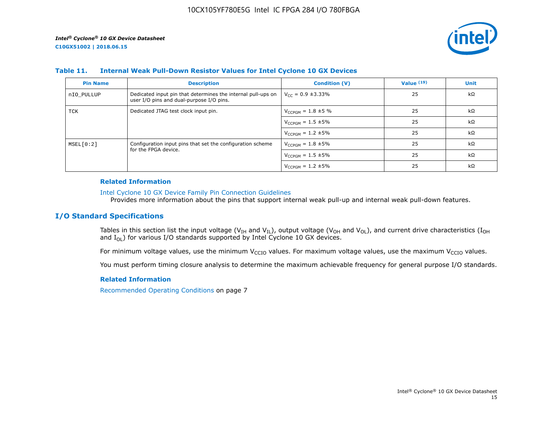

#### **Table 11. Internal Weak Pull-Down Resistor Values for Intel Cyclone 10 GX Devices**

| <b>Pin Name</b> | <b>Description</b>                                                                                       | <b>Condition (V)</b>       | Value $(19)$ | <b>Unit</b> |
|-----------------|----------------------------------------------------------------------------------------------------------|----------------------------|--------------|-------------|
| nIO PULLUP      | Dedicated input pin that determines the internal pull-ups on<br>user I/O pins and dual-purpose I/O pins. | $V_{CC} = 0.9 \pm 3.33\%$  | 25           | $k\Omega$   |
| TCK             | Dedicated JTAG test clock input pin.                                                                     | $V_{CCPGM} = 1.8 \pm 5 \%$ | 25           | $k\Omega$   |
|                 |                                                                                                          | $V_{CCPGM} = 1.5 \pm 5\%$  | 25           | $k\Omega$   |
|                 |                                                                                                          | $V_{CCPGM} = 1.2 \pm 5\%$  | 25           | $k\Omega$   |
| MSEL[0:2]       | Configuration input pins that set the configuration scheme                                               | $V_{CCPGM} = 1.8 \pm 5\%$  | 25           | $k\Omega$   |
|                 | for the FPGA device.                                                                                     | $V_{CCPGM} = 1.5 \pm 5\%$  | 25           | $k\Omega$   |
|                 |                                                                                                          | $V_{CCPGM} = 1.2 \pm 5\%$  | 25           | $k\Omega$   |

#### **Related Information**

#### [Intel Cyclone 10 GX Device Family Pin Connection Guidelines](https://www.altera.com/documentation/osf1485840198234.html#hjb1485915147847)

Provides more information about the pins that support internal weak pull-up and internal weak pull-down features.

### **I/O Standard Specifications**

Tables in this section list the input voltage (V<sub>IH</sub> and V<sub>IL</sub>), output voltage (V<sub>OH</sub> and V<sub>OL</sub>), and current drive characteristics (I<sub>OH</sub> and  $I_{OL}$ ) for various I/O standards supported by Intel Cyclone 10 GX devices.

For minimum voltage values, use the minimum V<sub>CCIO</sub> values. For maximum voltage values, use the maximum V<sub>CCIO</sub> values.

You must perform timing closure analysis to determine the maximum achievable frequency for general purpose I/O standards.

#### **Related Information**

Recommended Operating Conditions on page 7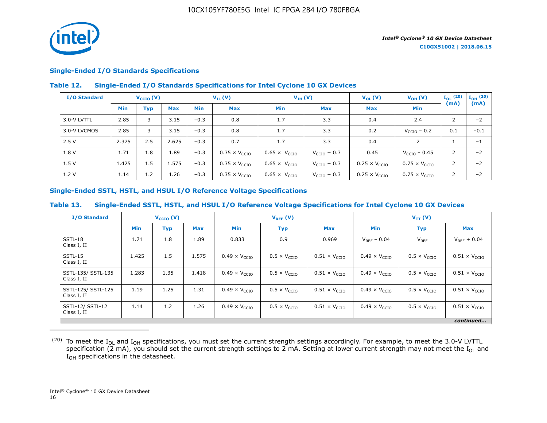

#### **Single-Ended I/O Standards Specifications**

#### **Table 12. Single-Ended I/O Standards Specifications for Intel Cyclone 10 GX Devices**

| I/O Standard | $V_{\text{CCIO}}(V)$ |     |            | $V_{IL}(V)$ |                               | $V_{IH} (V)$                  |                         | $V_{OL}(V)$                   | $V_{OH} (V)$                  | $I_{OL}$ (20) | $I_{OH}$ (20) |
|--------------|----------------------|-----|------------|-------------|-------------------------------|-------------------------------|-------------------------|-------------------------------|-------------------------------|---------------|---------------|
|              | <b>Min</b>           | Тур | <b>Max</b> | <b>Min</b>  | Max                           | Min                           | Max                     | <b>Max</b>                    | Min                           | (mA)          | (mA)          |
| 3.0-V LVTTL  | 2.85                 | 3   | 3.15       | $-0.3$      | 0.8                           | 1.7                           | 3.3                     | 0.4                           | 2.4                           | 2             | $-2$          |
| 3.0-V LVCMOS | 2.85                 | 3   | 3.15       | $-0.3$      | 0.8                           | 1.7                           | 3.3                     | 0.2                           | $V_{\text{CCIO}}$ – 0.2       | 0.1           | $-0.1$        |
| 2.5V         | 2.375                | 2.5 | 2.625      | $-0.3$      | 0.7                           | 1.7                           | 3.3                     | 0.4                           | $\overline{2}$                |               | $-1$          |
| 1.8 V        | 1.71                 | 1.8 | 1.89       | $-0.3$      | $0.35 \times V_{\text{CCIO}}$ | $0.65 \times V_{\text{CCIO}}$ | $V_{\text{CCIO}} + 0.3$ | 0.45                          | $V_{\rm CCIO}$ – 0.45         | 2             | $-2$          |
| 1.5V         | 1.425                | 1.5 | 1.575      | $-0.3$      | $0.35 \times V_{CCIO}$        | $0.65 \times V_{CCIO}$        | $V_{\text{CCIO}} + 0.3$ | $0.25 \times V_{CCIO}$        | $0.75 \times V_{\text{CCIO}}$ | 2             | $-2$          |
| 1.2V         | 1.14                 | 1.2 | 1.26       | $-0.3$      | $0.35 \times V_{\text{CCIO}}$ | $0.65 \times V_{CCIO}$        | $V_{\text{CCIO}} + 0.3$ | $0.25 \times V_{\text{CCIO}}$ | $0.75 \times V_{CCIO}$        | 2             | $-2$          |

#### **Single-Ended SSTL, HSTL, and HSUL I/O Reference Voltage Specifications**

#### **Table 13. Single-Ended SSTL, HSTL, and HSUL I/O Reference Voltage Specifications for Intel Cyclone 10 GX Devices**

| <b>I/O Standard</b>               |            | $V_{\text{CCIO}}(V)$ |            | $V_{REF}(V)$                  |                              |                               | $V_{TT} (V)$                  |                              |                               |
|-----------------------------------|------------|----------------------|------------|-------------------------------|------------------------------|-------------------------------|-------------------------------|------------------------------|-------------------------------|
|                                   | <b>Min</b> | <b>Typ</b>           | <b>Max</b> | <b>Min</b>                    | <b>Typ</b>                   | <b>Max</b>                    | <b>Min</b>                    | <b>Typ</b>                   | <b>Max</b>                    |
| SSTL-18<br>Class I, II            | 1.71       | 1.8                  | 1.89       | 0.833                         | 0.9                          | 0.969                         | $V_{RFF}$ – 0.04              | $V_{REF}$                    | $V_{REF} + 0.04$              |
| SSTL-15<br>Class I, II            | 1.425      | 1.5                  | 1.575      | $0.49 \times V_{CCIO}$        | $0.5 \times V_{\text{CCIO}}$ | $0.51 \times V_{\text{CCIO}}$ | $0.49 \times V_{CCIO}$        | $0.5 \times V_{\text{CCIO}}$ | $0.51 \times V_{\text{CCIO}}$ |
| SSTL-135/ SSTL-135<br>Class I, II | 1.283      | 1.35                 | 1.418      | $0.49 \times V_{\text{CCIO}}$ | $0.5 \times V_{\text{CCIO}}$ | $0.51 \times V_{\text{CCIO}}$ | $0.49 \times V_{CCIO}$        | $0.5 \times V_{\text{CCIO}}$ | $0.51 \times V_{\text{CCIO}}$ |
| SSTL-125/ SSTL-125<br>Class I, II | 1.19       | 1.25                 | 1.31       | $0.49 \times V_{CCIO}$        | $0.5 \times V_{\text{CCIO}}$ | $0.51 \times V_{\text{CCIO}}$ | $0.49 \times V_{\text{CCIO}}$ | $0.5 \times V_{\text{CCIO}}$ | $0.51 \times V_{\text{CCIO}}$ |
| SSTL-12/ SSTL-12<br>Class I, II   | 1.14       | 1.2                  | 1.26       | $0.49 \times V_{CCIO}$        | $0.5 \times V_{\text{CCIO}}$ | $0.51 \times V_{\text{CCIO}}$ | $0.49 \times V_{\text{CCIO}}$ | $0.5 \times V_{\text{CCIO}}$ | $0.51 \times V_{\text{CCIO}}$ |
|                                   |            |                      |            |                               |                              |                               |                               |                              | continued                     |

 $^{(20)}$  To meet the I<sub>OL</sub> and I<sub>OH</sub> specifications, you must set the current strength settings accordingly. For example, to meet the 3.0-V LVTTL specification (2 mA), you should set the current strength settings to 2 mA. Setting at lower current strength may not meet the I<sub>OL</sub> and I<sub>OH</sub> specifications in the datasheet.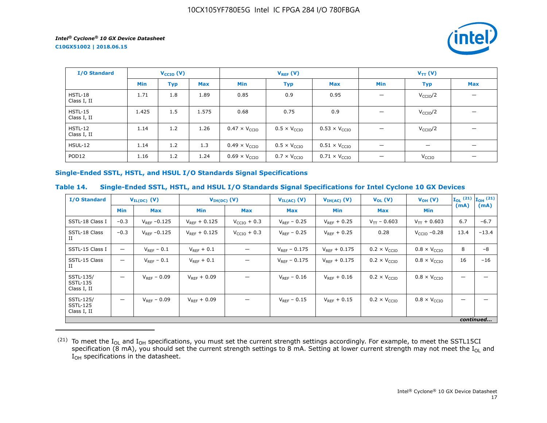**C10GX51002 | 2018.06.15**



| I/O Standard             |            | $V_{\text{CCIO}}(V)$ |            |                               | $V_{REF}(V)$                 |                               |                          | $V_{TT} (V)$             |                                |  |  |
|--------------------------|------------|----------------------|------------|-------------------------------|------------------------------|-------------------------------|--------------------------|--------------------------|--------------------------------|--|--|
|                          | <b>Min</b> | <b>Typ</b>           | <b>Max</b> | Min                           | <b>Typ</b>                   | <b>Max</b>                    | Min                      | <b>Typ</b>               | <b>Max</b>                     |  |  |
| HSTL-18<br>Class I, II   | 1.71       | 1.8                  | 1.89       | 0.85                          | 0.9                          | 0.95                          | $\qquad \qquad$          | V <sub>CCIO</sub> /2     |                                |  |  |
| $HSTL-15$<br>Class I, II | 1.425      | 1.5                  | 1.575      | 0.68                          | 0.75                         | 0.9                           | $\qquad \qquad$          | V <sub>CCIO</sub> /2     |                                |  |  |
| $HSTL-12$<br>Class I, II | 1.14       | 1.2                  | 1.26       | $0.47 \times V_{CCIO}$        | $0.5 \times V_{\text{CCIO}}$ | $0.53 \times V_{CCIO}$        | $\overline{\phantom{0}}$ | V <sub>CCIO</sub> /2     |                                |  |  |
| <b>HSUL-12</b>           | 1.14       | 1.2                  | 1.3        | $0.49 \times V_{\text{CCIO}}$ | $0.5 \times V_{\text{CCIO}}$ | $0.51 \times V_{\text{CCIO}}$ | $\qquad \qquad -$        | $\overline{\phantom{m}}$ |                                |  |  |
| POD <sub>12</sub>        | 1.16       | 1.2                  | 1.24       | $0.69 \times V_{\text{CCIO}}$ | $0.7 \times V_{\text{CCIO}}$ | $0.71 \times V_{\text{CCIO}}$ | $\qquad \qquad$          | V <sub>CCIO</sub>        | $\qquad \qquad \longleftarrow$ |  |  |

#### **Single-Ended SSTL, HSTL, and HSUL I/O Standards Signal Specifications**

#### **Table 14. Single-Ended SSTL, HSTL, and HSUL I/O Standards Signal Specifications for Intel Cyclone 10 GX Devices**

| <b>I/O Standard</b>                         | $V_{IL(DC)}$ (V)         |                   | $V_{IH(DC)}$ (V)  |                         | $V_{IL(AC)}$ (V)  | $V_{IH(AC)}$ (V)  | $V_{OL}(V)$                  | $V_{OH} (V)$                 |      | $\mathbf{I}_{OL}$ (21) $\mathbf{I}_{OH}$ (21) |
|---------------------------------------------|--------------------------|-------------------|-------------------|-------------------------|-------------------|-------------------|------------------------------|------------------------------|------|-----------------------------------------------|
|                                             | <b>Min</b>               | <b>Max</b>        | <b>Min</b>        | Max                     | Max               | Min               | <b>Max</b>                   | Min                          | (mA) | (mA)                                          |
| SSTL-18 Class I                             | $-0.3$                   | $V_{RFF} - 0.125$ | $V_{RFF}$ + 0.125 | $V_{\text{CCIO}} + 0.3$ | $V_{RFF}$ – 0.25  | $V_{RFF}$ + 0.25  | $V_{TT}$ – 0.603             | $V_{TT}$ + 0.603             | 6.7  | $-6.7$                                        |
| SSTL-18 Class<br>П                          | $-0.3$                   | $V_{REF}$ -0.125  | $V_{RFF} + 0.125$ | $V_{\text{CCIO}} + 0.3$ | $V_{REF}$ – 0.25  | $V_{RFF}$ + 0.25  | 0.28                         | $VCCIO -0.28$                | 13.4 | $-13.4$                                       |
| SSTL-15 Class I                             | $\overline{\phantom{0}}$ | $V_{REF}$ – 0.1   | $V_{REF}$ + 0.1   |                         | $V_{RFF} - 0.175$ | $V_{RFF}$ + 0.175 | $0.2 \times V_{\text{CCIO}}$ | $0.8 \times V_{\text{CCIO}}$ | 8    | $-8$                                          |
| SSTL-15 Class<br>П                          | $\overline{\phantom{0}}$ | $V_{RFF}$ – 0.1   | $V_{REF} + 0.1$   |                         | $V_{RFF}$ – 0.175 | $V_{RFF}$ + 0.175 | $0.2 \times V_{\text{CCIO}}$ | $0.8 \times V_{\text{CCIO}}$ | 16   | $-16$                                         |
| SSTL-135/<br><b>SSTL-135</b><br>Class I, II | $\overline{\phantom{0}}$ | $V_{REF} - 0.09$  | $V_{RFF} + 0.09$  |                         | $V_{RFF} - 0.16$  | $V_{RFF}$ + 0.16  | $0.2 \times V_{\text{CCIO}}$ | $0.8 \times V_{\text{CCIO}}$ |      |                                               |
| SSTL-125/<br><b>SSTL-125</b><br>Class I, II | —                        | $V_{RFF}$ – 0.09  | $V_{RFF}$ + 0.09  |                         | $V_{RFF}$ – 0.15  | $V_{RFF}$ + 0.15  | $0.2 \times V_{\text{CCIO}}$ | $0.8 \times V_{\text{CCIO}}$ |      |                                               |
|                                             |                          |                   |                   |                         |                   |                   |                              |                              |      | continued                                     |

 $^{(21)}$  To meet the I<sub>OL</sub> and I<sub>OH</sub> specifications, you must set the current strength settings accordingly. For example, to meet the SSTL15CI specification (8 mA), you should set the current strength settings to 8 mA. Setting at lower current strength may not meet the I<sub>OL</sub> and  $I_{OH}$  specifications in the datasheet.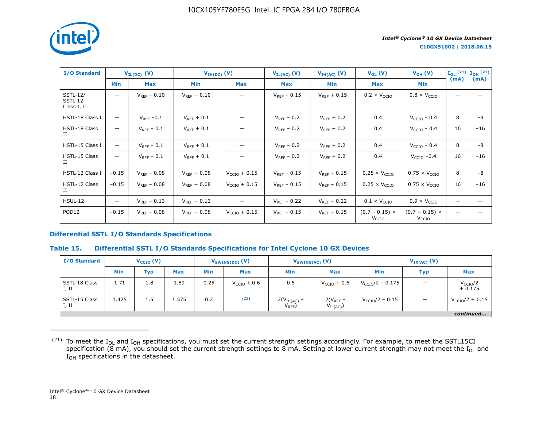

| <b>I/O Standard</b>                       |                 | $V_{IL(DC)}$ (V) | $V_{IH(DC)}(V)$  |                          | $V_{IL(AC)}$ (V) | $V_{IH(AC)}$ (V) | $V_{OL}(V)$                                | $V_{OH} (V)$                               |      | $\mathbf{I}_{OL}$ (21) $\mathbf{I}_{OH}$ (21) |
|-------------------------------------------|-----------------|------------------|------------------|--------------------------|------------------|------------------|--------------------------------------------|--------------------------------------------|------|-----------------------------------------------|
|                                           | <b>Min</b>      | <b>Max</b>       | <b>Min</b>       | <b>Max</b>               | Max              | Min              | <b>Max</b>                                 | <b>Min</b>                                 | (mA) | (mA)                                          |
| <b>SSTL-12/</b><br>SSTL-12<br>Class I, II | —               | $V_{RFF} - 0.10$ | $V_{RFF}$ + 0.10 |                          | $V_{RFF}$ – 0.15 | $V_{RFF}$ + 0.15 | $0.2 \times V_{CCIO}$                      | $0.8 \times V_{\text{CCIO}}$               |      |                                               |
| HSTL-18 Class I                           | —               | $V_{REF}$ -0.1   | $V_{RFF}$ + 0.1  | —                        | $V_{RFF}$ – 0.2  | $V_{RFF}$ + 0.2  | 0.4                                        | $V_{CCIO}$ – 0.4                           | 8    | $-8$                                          |
| HSTL-18 Class<br>П                        | -               | $V_{REF}$ – 0.1  | $V_{REF}$ + 0.1  |                          | $V_{REF}$ – 0.2  | $V_{REF}$ + 0.2  | 0.4                                        | $VCCIO - 0.4$                              | 16   | $-16$                                         |
| HSTL-15 Class I                           | —               | $V_{RFF}$ – 0.1  | $V_{REF} + 0.1$  |                          | $V_{REF}$ – 0.2  | $V_{RFF}$ + 0.2  | 0.4                                        | $VCCIO$ – 0.4                              | 8    | -8                                            |
| HSTL-15 Class<br>П                        | —               | $V_{REF}$ – 0.1  | $V_{RFF}$ + 0.1  | —                        | $V_{REF}$ – 0.2  | $V_{RFF}$ + 0.2  | 0.4                                        | $V_{\text{CCIO}}$ -0.4                     | 16   | $-16$                                         |
| HSTL-12 Class I                           | $-0.15$         | $V_{RFF} - 0.08$ | $V_{RFF} + 0.08$ | $V_{\text{CCIO}} + 0.15$ | $V_{REF}$ – 0.15 | $V_{REF} + 0.15$ | $0.25 \times V_{CCIO}$                     | $0.75 \times V_{CCIO}$                     | 8    | $-8$                                          |
| HSTL-12 Class<br>П                        | $-0.15$         | $V_{RFF}$ – 0.08 | $V_{RFF}$ + 0.08 | $V_{\text{CCIO}} + 0.15$ | $V_{RFF}$ – 0.15 | $V_{REF}$ + 0.15 | $0.25 \times V_{\text{CCIO}}$              | $0.75 \times V_{\text{CCIO}}$              | 16   | $-16$                                         |
| <b>HSUL-12</b>                            | $\qquad \qquad$ | $V_{RFF}$ – 0.13 | $V_{RFF}$ + 0.13 |                          | $V_{RFF}$ – 0.22 | $V_{RFF}$ + 0.22 | $0.1 \times V_{\text{CCIO}}$               | $0.9 \times V_{\text{CCIO}}$               |      |                                               |
| POD <sub>12</sub>                         | $-0.15$         | $V_{RFF}$ – 0.08 | $V_{RFF}$ + 0.08 | $V_{\text{CCIO}} + 0.15$ | $V_{RFF}$ – 0.15 | $V_{RFF}$ + 0.15 | $(0.7 - 0.15) \times$<br>V <sub>CCIO</sub> | $(0.7 + 0.15) \times$<br>V <sub>CCIO</sub> |      |                                               |

#### **Differential SSTL I/O Standards Specifications**

#### **Table 15. Differential SSTL I/O Standards Specifications for Intel Cyclone 10 GX Devices**

| <b>I/O Standard</b>    | $V_{\text{CCIO}}(V)$ |            | $V_{SWING(DC)}$ (V) |            | $V_{SWING(AC)}$ (V)     |                              | $V_{IX(AC)}$ (V)              |                            |            |                                  |
|------------------------|----------------------|------------|---------------------|------------|-------------------------|------------------------------|-------------------------------|----------------------------|------------|----------------------------------|
|                        | <b>Min</b>           | <b>Typ</b> | <b>Max</b>          | <b>Min</b> | <b>Max</b>              | <b>Min</b>                   | <b>Max</b>                    | Min                        | <b>Typ</b> | <b>Max</b>                       |
| SSTL-18 Class<br>I, II | 1.71                 | 1.8        | 1.89                | 0.25       | $V_{\text{CCIO}} + 0.6$ | 0.5                          | $V_{\text{CCIO}} + 0.6$       | $V_{\rm CCIO}/2 - 0.175$   |            | V <sub>CCIO</sub> /2<br>$+0.175$ |
| SSTL-15 Class<br>I, II | 1.425                | 1.5        | 1.575               | 0.2        | (22)                    | $2(VIH(AC) -$<br>$V_{REF}$ ) | $2(V_{REF}$ –<br>$V_{IL(AC)}$ | $V_{\text{CCIO}}/2 - 0.15$ |            | $V_{\text{CCIO}}/2 + 0.15$       |
|                        |                      |            |                     |            |                         |                              |                               |                            |            | continued                        |

 $^{(21)}$  To meet the I<sub>OL</sub> and I<sub>OH</sub> specifications, you must set the current strength settings accordingly. For example, to meet the SSTL15CI specification (8 mA), you should set the current strength settings to 8 mA. Setting at lower current strength may not meet the I<sub>OL</sub> and  $I_{OH}$  specifications in the datasheet.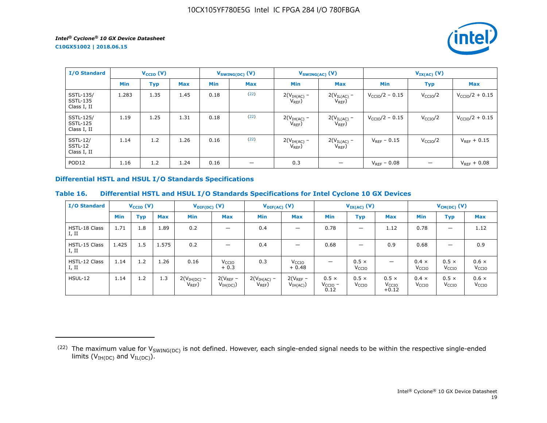**C10GX51002 | 2018.06.15**



| <b>I/O Standard</b>                         | $V_{\text{CCIO}}(V)$ |      | $V_{SWING(DC)}(V)$ |            | $V_{SWING(AC)}$ (V) |                              | $V_{IX(AC)}$ (V)                |                            |                      |                            |
|---------------------------------------------|----------------------|------|--------------------|------------|---------------------|------------------------------|---------------------------------|----------------------------|----------------------|----------------------------|
|                                             | <b>Min</b>           | Typ  | <b>Max</b>         | <b>Min</b> | <b>Max</b>          | <b>Min</b>                   | <b>Max</b>                      | <b>Min</b>                 | <b>Typ</b>           | <b>Max</b>                 |
| SSTL-135/<br><b>SSTL-135</b><br>Class I, II | 1.283                | 1.35 | 1.45               | 0.18       | (22)                | $2(VIH(AC)$ –<br>$V_{REF}$ ) | $2(V_{IL(AC)}$ -<br>$V_{REF}$ ) | $V_{\rm CCIO}/2 - 0.15$    | V <sub>CCIO</sub> /2 | $V_{\text{CCIO}}/2 + 0.15$ |
| SSTL-125/<br><b>SSTL-125</b><br>Class I, II | 1.19                 | 1.25 | 1.31               | 0.18       | (22)                | $2(VIH(AC) -$<br>$V_{REF}$   | $2(V_{IL(AC)}$ –<br>$V_{REF}$ ) | $V_{\text{CCIO}}/2 - 0.15$ | V <sub>CCIO</sub> /2 | $V_{CCIO}/2 + 0.15$        |
| <b>SSTL-12/</b><br>SSTL-12<br>Class I, II   | 1.14                 | 1.2  | 1.26               | 0.16       | (22)                | $2(VIH(AC)$ –<br>$V_{REF}$ ) | $2(V_{IL(AC)}$ -<br>$V_{REF}$ ) | $V_{REF}$ – 0.15           | V <sub>CCIO</sub> /2 | $V_{REF} + 0.15$           |
| POD <sub>12</sub>                           | 1.16                 | 1.2  | 1.24               | 0.16       | –                   | 0.3                          |                                 | $V_{REF}$ – 0.08           |                      | $V_{REF} + 0.08$           |

## **Differential HSTL and HSUL I/O Standards Specifications**

## **Table 16. Differential HSTL and HSUL I/O Standards Specifications for Intel Cyclone 10 GX Devices**

| <b>I/O Standard</b>    |       | $V_{\text{CCIO}}(V)$ |            |                              | $V_{\text{DIF(DC)}}(V)$      |                            | $V_{\text{DIF(AC)}}$ (V)     |                                   | $V_{IX(AC)}(V)$                   |                                              |                                   | $V_{CM(DC)}(V)$                   |                                   |  |
|------------------------|-------|----------------------|------------|------------------------------|------------------------------|----------------------------|------------------------------|-----------------------------------|-----------------------------------|----------------------------------------------|-----------------------------------|-----------------------------------|-----------------------------------|--|
|                        | Min   | <b>Typ</b>           | <b>Max</b> | Min                          | <b>Max</b>                   | <b>Min</b>                 | <b>Max</b>                   | <b>Min</b>                        | Typ                               | <b>Max</b>                                   | <b>Min</b>                        | <b>Typ</b>                        | <b>Max</b>                        |  |
| HSTL-18 Class<br>I, II | 1.71  | 1.8                  | 1.89       | 0.2                          |                              | 0.4                        |                              | 0.78                              | $\qquad \qquad \longleftarrow$    | 1.12                                         | 0.78                              |                                   | 1.12                              |  |
| HSTL-15 Class<br>I, II | 1.425 | 1.5                  | 1.575      | 0.2                          |                              | 0.4                        | $\overline{\phantom{0}}$     | 0.68                              | –                                 | 0.9                                          | 0.68                              | –                                 | 0.9                               |  |
| HSTL-12 Class<br>I, II | 1.14  | 1.2                  | 1.26       | 0.16                         | V <sub>CCIO</sub><br>$+0.3$  | 0.3                        | V <sub>CCIO</sub><br>$+0.48$ |                                   | $0.5 \times$<br>V <sub>CCIO</sub> | $\overline{\phantom{0}}$                     | $0.4 \times$<br>V <sub>CCIO</sub> | $0.5 \times$<br>V <sub>CCIO</sub> | $0.6 \times$<br>V <sub>CCIO</sub> |  |
| HSUL-12                | 1.14  | 1.2                  | 1.3        | $2(VIH(DC)$ –<br>$V_{REF}$ ) | $2(V_{REF}-$<br>$V_{IH(DC)}$ | $2(VIH(AC)$ –<br>$V_{REF}$ | $2(V_{REF}-$<br>$V_{IH(AC)}$ | $0.5 \times$<br>$VCCIO$ –<br>0.12 | $0.5 \times$<br>V <sub>CCIO</sub> | $0.5 \times$<br>V <sub>CCIO</sub><br>$+0.12$ | $0.4 \times$<br>V <sub>CCIO</sub> | $0.5 \times$<br>V <sub>CCIO</sub> | $0.6 \times$<br>V <sub>CCIO</sub> |  |

<sup>(22)</sup> The maximum value for  $V_{SWING(DC)}$  is not defined. However, each single-ended signal needs to be within the respective single-ended limits ( $V_{IH(DC)}$  and  $V_{IL(DC)}$ ).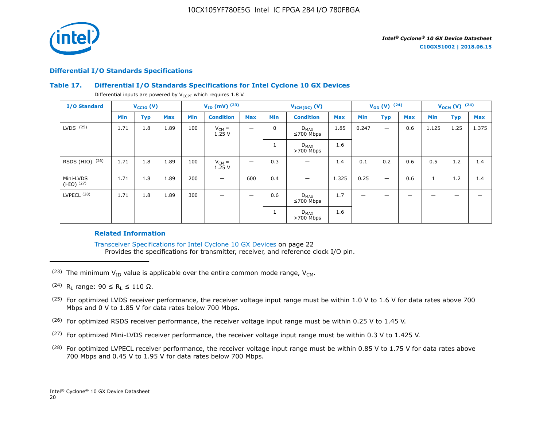

#### **Differential I/O Standards Specifications**

#### **Table 17. Differential I/O Standards Specifications for Intel Cyclone 10 GX Devices**

Differential inputs are powered by  $V_{CCPT}$  which requires 1.8 V.

| <b>I/O Standard</b>         |      | $V_{\text{CCIO}}(V)$ |            |            | $V_{ID}$ (mV) $^{(23)}$ |            |             | $V_{ICM(DC)}(V)$             |            |                          | $V_{OD} (V)$ (24)        |            | $V_{OCM} (V)$ (24) |            |            |
|-----------------------------|------|----------------------|------------|------------|-------------------------|------------|-------------|------------------------------|------------|--------------------------|--------------------------|------------|--------------------|------------|------------|
|                             | Min  | <b>Typ</b>           | <b>Max</b> | <b>Min</b> | <b>Condition</b>        | <b>Max</b> | Min         | <b>Condition</b>             | <b>Max</b> | Min                      | <b>Typ</b>               | <b>Max</b> | Min                | <b>Typ</b> | <b>Max</b> |
| $LVDS$ $(25)$               | 1.71 | 1.8                  | 1.89       | 100        | $V_{CM} =$<br>1.25V     | —          | $\mathbf 0$ | $D_{MAX}$<br>$\leq 700$ Mbps | 1.85       | 0.247                    |                          | 0.6        | 1.125              | 1.25       | 1.375      |
|                             |      |                      |            |            |                         |            |             | $D_{MAX}$<br>$>700$ Mbps     | 1.6        |                          |                          |            |                    |            |            |
| RSDS (HIO) (26)             | 1.71 | 1.8                  | 1.89       | 100        | $V_{CM} =$<br>1.25V     | —          | 0.3         |                              | 1.4        | 0.1                      | 0.2                      | 0.6        | 0.5                | 1.2        | 1.4        |
| Mini-LVDS<br>$(HIO)$ $(27)$ | 1.71 | 1.8                  | 1.89       | 200        | —                       | 600        | 0.4         | -                            | 1.325      | 0.25                     | $\overline{\phantom{0}}$ | 0.6        | $\mathbf{1}$       | 1.2        | 1.4        |
| LVPECL <sup>(28)</sup>      | 1.71 | 1.8                  | 1.89       | 300        | –                       | —          | 0.6         | $D_{MAX}$<br>$≤700$ Mbps     | 1.7        | $\overline{\phantom{m}}$ | -                        | -          | -                  | -          |            |
|                             |      |                      |            |            |                         |            |             | $D_{MAX}$<br>$>700$ Mbps     | 1.6        |                          |                          |            |                    |            |            |

#### **Related Information**

Transceiver Specifications for Intel Cyclone 10 GX Devices on page 22 Provides the specifications for transmitter, receiver, and reference clock I/O pin.

- (23) The minimum  $V_{ID}$  value is applicable over the entire common mode range,  $V_{CM}$ .
- $(24)$  R<sub>L</sub> range: 90 ≤ R<sub>L</sub> ≤ 110 Ω.
- <sup>(25)</sup> For optimized LVDS receiver performance, the receiver voltage input range must be within 1.0 V to 1.6 V for data rates above 700 Mbps and 0 V to 1.85 V for data rates below 700 Mbps.
- $(26)$  For optimized RSDS receiver performance, the receiver voltage input range must be within 0.25 V to 1.45 V.
- (27) For optimized Mini-LVDS receiver performance, the receiver voltage input range must be within 0.3 V to 1.425 V.
- <sup>(28)</sup> For optimized LVPECL receiver performance, the receiver voltage input range must be within 0.85 V to 1.75 V for data rates above 700 Mbps and 0.45 V to 1.95 V for data rates below 700 Mbps.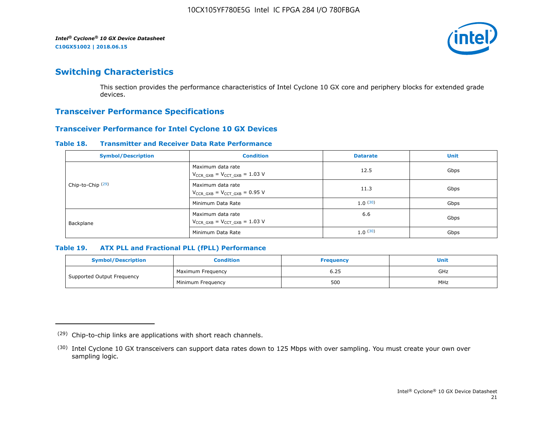

## **Switching Characteristics**

This section provides the performance characteristics of Intel Cyclone 10 GX core and periphery blocks for extended grade devices.

## **Transceiver Performance Specifications**

## **Transceiver Performance for Intel Cyclone 10 GX Devices**

#### **Table 18. Transmitter and Receiver Data Rate Performance**

| <b>Symbol/Description</b>    | <b>Condition</b>                                            | <b>Datarate</b> | <b>Unit</b> |
|------------------------------|-------------------------------------------------------------|-----------------|-------------|
|                              | Maximum data rate<br>$V_{CCR_GXB} = V_{CCT_GXB} = 1.03 V$   | 12.5            | Gbps        |
| Chip-to-Chip <sup>(29)</sup> | Maximum data rate<br>$V_{CCR_GXB} = V_{CCT_GXB} = 0.95 V$   | 11.3            | Gbps        |
|                              | Minimum Data Rate                                           | 1.0(30)         | Gbps        |
| Backplane                    | Maximum data rate<br>$V_{CCR\ GXB} = V_{CCT\ GXB} = 1.03$ V | 6.6             | Gbps        |
|                              | Minimum Data Rate                                           | 1.0(30)         | Gbps        |

#### **Table 19. ATX PLL and Fractional PLL (fPLL) Performance**

| <b>Symbol/Description</b>  | Condition         | <b>Frequency</b> | <b>Unit</b> |
|----------------------------|-------------------|------------------|-------------|
|                            | Maximum Frequency | 6.25             | GHz         |
| Supported Output Frequency | Minimum Freguency | 500              | MHz         |

<sup>(29)</sup> Chip-to-chip links are applications with short reach channels.

<sup>(30)</sup> Intel Cyclone 10 GX transceivers can support data rates down to 125 Mbps with over sampling. You must create your own over sampling logic.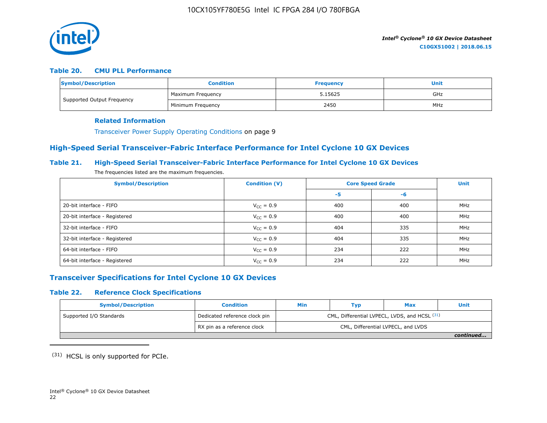

#### **Table 20. CMU PLL Performance**

| <b>Symbol/Description</b>  | <b>Condition</b>  | <b>Frequency</b> | Unit |
|----------------------------|-------------------|------------------|------|
| Supported Output Frequency | Maximum Freguency | 5.15625          | GHz  |
|                            | Minimum Frequency | 2450             | MHz  |

#### **Related Information**

Transceiver Power Supply Operating Conditions on page 9

## **High-Speed Serial Transceiver-Fabric Interface Performance for Intel Cyclone 10 GX Devices**

#### **Table 21. High-Speed Serial Transceiver-Fabric Interface Performance for Intel Cyclone 10 GX Devices**

The frequencies listed are the maximum frequencies.

| <b>Symbol/Description</b>     | <b>Condition (V)</b>  | <b>Core Speed Grade</b> | <b>Unit</b> |            |
|-------------------------------|-----------------------|-------------------------|-------------|------------|
|                               |                       | -5                      | -6          |            |
| 20-bit interface - FIFO       | $V_{CC} = 0.9$        | 400                     | 400         | MHz        |
| 20-bit interface - Registered | $V_{CC} = 0.9$        | 400                     | 400         | <b>MHz</b> |
| 32-bit interface - FIFO       | $V_{CC} = 0.9$        | 404                     | 335         | MHz        |
| 32-bit interface - Registered | $V_{\text{CC}} = 0.9$ | 404                     | 335         | MHz        |
| 64-bit interface - FIFO       | $V_{CC} = 0.9$        | 234                     | 222         | MHz        |
| 64-bit interface - Registered | $V_{\text{CC}} = 0.9$ | 234                     | 222         | MHz        |

## **Transceiver Specifications for Intel Cyclone 10 GX Devices**

#### **Table 22. Reference Clock Specifications**

| <b>Symbol/Description</b> | <b>Condition</b>              | Min                                           | Typ | <b>Max</b>                         | Unit      |  |
|---------------------------|-------------------------------|-----------------------------------------------|-----|------------------------------------|-----------|--|
| Supported I/O Standards   | Dedicated reference clock pin | CML, Differential LVPECL, LVDS, and HCSL (31) |     |                                    |           |  |
|                           | RX pin as a reference clock   |                                               |     | CML, Differential LVPECL, and LVDS |           |  |
|                           |                               |                                               |     |                                    | continued |  |

(31) HCSL is only supported for PCIe.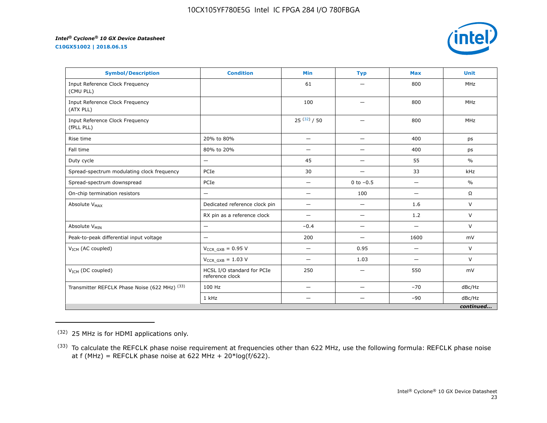**C10GX51002 | 2018.06.15**



| <b>Symbol/Description</b>                     | <b>Condition</b>                              | <b>Min</b>               | <b>Typ</b>               | <b>Max</b>               | <b>Unit</b>   |
|-----------------------------------------------|-----------------------------------------------|--------------------------|--------------------------|--------------------------|---------------|
| Input Reference Clock Frequency<br>(CMU PLL)  |                                               | 61                       |                          | 800                      | <b>MHz</b>    |
| Input Reference Clock Frequency<br>(ATX PLL)  |                                               | 100                      | —                        | 800                      | <b>MHz</b>    |
| Input Reference Clock Frequency<br>(fPLL PLL) |                                               | $25^{(32)}/50$           | $\overline{\phantom{0}}$ | 800                      | <b>MHz</b>    |
| Rise time                                     | 20% to 80%                                    | $\qquad \qquad -$        | —                        | 400                      | ps            |
| Fall time                                     | 80% to 20%                                    | $\overline{\phantom{0}}$ | $\overline{\phantom{0}}$ | 400                      | ps            |
| Duty cycle                                    | —                                             | 45                       | —                        | 55                       | $\frac{0}{0}$ |
| Spread-spectrum modulating clock frequency    | PCIe                                          | 30                       | —                        | 33                       | kHz           |
| Spread-spectrum downspread                    | PCIe                                          | —                        | 0 to $-0.5$              |                          | $\%$          |
| On-chip termination resistors                 | —                                             | $\overline{\phantom{0}}$ | 100                      | $\overline{\phantom{0}}$ | $\Omega$      |
| Absolute V <sub>MAX</sub>                     | Dedicated reference clock pin                 | $\qquad \qquad -$        | $\overline{\phantom{0}}$ | 1.6                      | V             |
|                                               | RX pin as a reference clock                   |                          | $\overline{\phantom{0}}$ | 1.2                      | $\vee$        |
| Absolute V <sub>MIN</sub>                     | —                                             | $-0.4$                   | —                        | $\overline{\phantom{0}}$ | $\vee$        |
| Peak-to-peak differential input voltage       | $\overline{\phantom{0}}$                      | 200                      | $\overline{\phantom{0}}$ | 1600                     | mV            |
| V <sub>ICM</sub> (AC coupled)                 | $V_{CCR_GXB} = 0.95 V$                        | $\qquad \qquad$          | 0.95                     | $\overline{\phantom{0}}$ | V             |
|                                               | $V_{CCR\ GXB} = 1.03 V$                       | —                        | 1.03                     | $\overline{\phantom{0}}$ | $\vee$        |
| $V_{ICM}$ (DC coupled)                        | HCSL I/O standard for PCIe<br>reference clock | 250                      | $\overline{\phantom{0}}$ | 550                      | mV            |
| Transmitter REFCLK Phase Noise (622 MHz) (33) | 100 Hz                                        | —                        | $\overline{\phantom{0}}$ | $-70$                    | dBc/Hz        |
|                                               | 1 kHz                                         |                          |                          | $-90$                    | dBc/Hz        |
|                                               |                                               |                          |                          |                          | continued     |

<sup>(32)</sup> 25 MHz is for HDMI applications only.

<sup>&</sup>lt;sup>(33)</sup> To calculate the REFCLK phase noise requirement at frequencies other than 622 MHz, use the following formula: REFCLK phase noise at f (MHz) = REFCLK phase noise at 622 MHz +  $20*log(f/622)$ .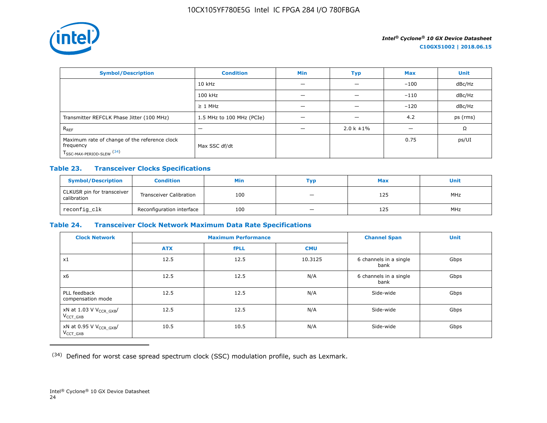

| <b>Symbol/Description</b>                                                                           | <b>Condition</b>          | <b>Min</b> | <b>Typ</b>      | <b>Max</b> | <b>Unit</b> |
|-----------------------------------------------------------------------------------------------------|---------------------------|------------|-----------------|------------|-------------|
|                                                                                                     | $10$ kHz                  |            |                 | $-100$     | dBc/Hz      |
|                                                                                                     | 100 kHz                   |            | _               | $-110$     | dBc/Hz      |
|                                                                                                     | $\geq$ 1 MHz              |            |                 | $-120$     | dBc/Hz      |
| Transmitter REFCLK Phase Jitter (100 MHz)                                                           | 1.5 MHz to 100 MHz (PCIe) | —          | —               | 4.2        | ps (rms)    |
| $R_{REF}$                                                                                           | –                         |            | $2.0 k \pm 1\%$ |            | Ω           |
| Maximum rate of change of the reference clock<br>frequency<br>T <sub>SSC-MAX-PERIOD-SLEW</sub> (34) | Max SSC df/dt             |            |                 | 0.75       | ps/UI       |

## **Table 23. Transceiver Clocks Specifications**

| <b>Symbol/Description</b>                 | <b>Condition</b>               | Min | Тур                      | <b>Max</b> | <b>Unit</b> |
|-------------------------------------------|--------------------------------|-----|--------------------------|------------|-------------|
| CLKUSR pin for transceiver<br>calibration | <b>Transceiver Calibration</b> | 100 | -                        | 125        | <b>MHz</b>  |
| reconfig_clk                              | Reconfiguration interface      | 100 | $\overline{\phantom{m}}$ | 125        | <b>MHz</b>  |

#### **Table 24. Transceiver Clock Network Maximum Data Rate Specifications**

| <b>Clock Network</b>                                 | <b>Maximum Performance</b> |             |            | <b>Channel Span</b>            | <b>Unit</b> |
|------------------------------------------------------|----------------------------|-------------|------------|--------------------------------|-------------|
|                                                      | <b>ATX</b>                 | <b>fPLL</b> | <b>CMU</b> |                                |             |
| x1                                                   | 12.5                       | 12.5        | 10.3125    | 6 channels in a single<br>bank | Gbps        |
| x6                                                   | 12.5                       | 12.5        | N/A        | 6 channels in a single<br>bank | Gbps        |
| PLL feedback<br>compensation mode                    | 12.5                       | 12.5        | N/A        | Side-wide                      | Gbps        |
| xN at 1.03 V V <sub>CCR_GXB</sub> /<br>$V_{CCT}$ GXB | 12.5                       | 12.5        | N/A        | Side-wide                      | Gbps        |
| xN at 0.95 V V <sub>CCR_GXB</sub> /<br>$V_{CCT_GXB}$ | 10.5                       | 10.5        | N/A        | Side-wide                      | Gbps        |

(34) Defined for worst case spread spectrum clock (SSC) modulation profile, such as Lexmark.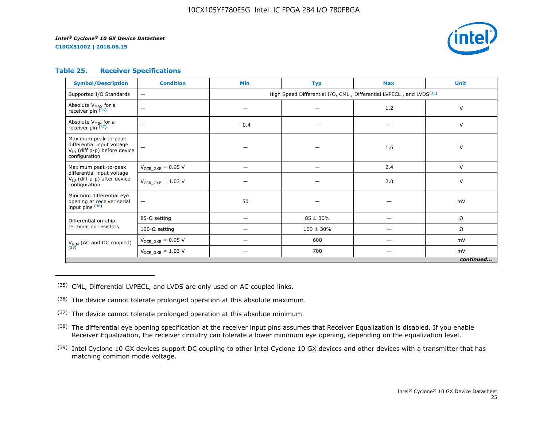**C10GX51002 | 2018.06.15**



#### **Table 25. Receiver Specifications**

| <b>Symbol/Description</b>                                                                                | <b>Condition</b>         | <b>Min</b>                                                                      | <b>Typ</b>     | <b>Max</b> | <b>Unit</b> |  |  |  |
|----------------------------------------------------------------------------------------------------------|--------------------------|---------------------------------------------------------------------------------|----------------|------------|-------------|--|--|--|
| Supported I/O Standards                                                                                  | $\qquad \qquad -$        | High Speed Differential I/O, CML, Differential LVPECL, and LVDS <sup>(35)</sup> |                |            |             |  |  |  |
| Absolute V <sub>MAX</sub> for a<br>receiver pin (36)                                                     | $\overline{\phantom{m}}$ |                                                                                 |                | 1.2        | $\vee$      |  |  |  |
| Absolute V <sub>MIN</sub> for a<br>receiver pin $(37)$                                                   | —                        | $-0.4$                                                                          |                |            | V           |  |  |  |
| Maximum peak-to-peak<br>differential input voltage<br>$V_{ID}$ (diff p-p) before device<br>configuration |                          |                                                                                 |                | 1.6        | V           |  |  |  |
| Maximum peak-to-peak                                                                                     | $V_{CCR_GXB} = 0.95 V$   |                                                                                 | -              | 2.4        | $\vee$      |  |  |  |
| differential input voltage<br>$V_{ID}$ (diff p-p) after device<br>configuration                          | $V_{CCR\ GXB} = 1.03 V$  |                                                                                 |                | 2.0        | V           |  |  |  |
| Minimum differential eye<br>opening at receiver serial<br>input pins (38)                                | $\overline{\phantom{m}}$ | 50                                                                              |                |            | mV          |  |  |  |
| Differential on-chip                                                                                     | $85-\Omega$ setting      | —                                                                               | $85 \pm 30\%$  | —          | Ω           |  |  |  |
| termination resistors                                                                                    | 100-Ω setting            |                                                                                 | $100 \pm 30\%$ |            | Ω           |  |  |  |
| $V_{ICM}$ (AC and DC coupled)<br>(39)                                                                    | $V_{CCR_GXB} = 0.95 V$   |                                                                                 | 600            |            | mV          |  |  |  |
|                                                                                                          | $V_{CCR_GXB} = 1.03 V$   |                                                                                 | 700            |            | mV          |  |  |  |
|                                                                                                          | continued                |                                                                                 |                |            |             |  |  |  |

(35) CML, Differential LVPECL, and LVDS are only used on AC coupled links.

- (36) The device cannot tolerate prolonged operation at this absolute maximum.
- $(37)$  The device cannot tolerate prolonged operation at this absolute minimum.
- <sup>(38)</sup> The differential eye opening specification at the receiver input pins assumes that Receiver Equalization is disabled. If you enable Receiver Equalization, the receiver circuitry can tolerate a lower minimum eye opening, depending on the equalization level.
- <sup>(39)</sup> Intel Cyclone 10 GX devices support DC coupling to other Intel Cyclone 10 GX devices and other devices with a transmitter that has matching common mode voltage.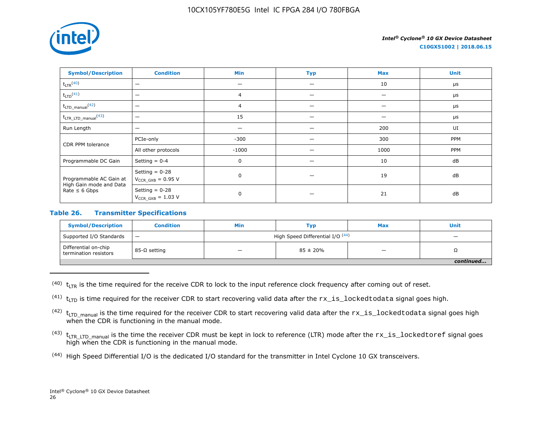

**C10GX51002 | 2018.06.15**

| <b>Symbol/Description</b>                                                | <b>Condition</b>                           | Min            | <b>Typ</b> | <b>Max</b> | <b>Unit</b> |
|--------------------------------------------------------------------------|--------------------------------------------|----------------|------------|------------|-------------|
| $t_{LTR}$ <sup>(40)</sup>                                                | $\overline{\phantom{0}}$                   |                |            | 10         | $\mu$ s     |
| $t_{LTD}$ <sup>(41)</sup>                                                | $\overline{\phantom{0}}$                   | $\overline{4}$ |            |            | $\mu$ s     |
| $t_{\text{LTD\_manual}}$ <sup>(42)</sup>                                 | $\overline{\phantom{0}}$                   | $\overline{4}$ |            |            | $\mu s$     |
| $t_{\text{LTR\_LTD\_manual}}$ <sup>(43)</sup>                            | $\overline{\phantom{0}}$                   | 15             |            |            | $\mu s$     |
| Run Length                                                               | $\overline{\phantom{0}}$                   |                |            | 200        | UI          |
| CDR PPM tolerance                                                        | PCIe-only                                  | $-300$         |            | 300        | PPM         |
|                                                                          | All other protocols                        | $-1000$        |            | 1000       | PPM         |
| Programmable DC Gain                                                     | Setting $= 0-4$                            | 0              |            | 10         | dB          |
| Programmable AC Gain at<br>High Gain mode and Data<br>Rate $\leq 6$ Gbps | Setting $= 0-28$<br>$V_{CCR_GXB} = 0.95 V$ | $\mathbf 0$    |            | 19         | dB          |
|                                                                          | Setting $= 0-28$<br>$V_{CCR_GXB} = 1.03 V$ | $\mathbf 0$    |            | 21         | dB          |

### **Table 26. Transmitter Specifications**

| <b>Symbol/Description</b>                     | <b>Condition</b>  | Min                              | Тур                      | <b>Max</b> | Unit |  |
|-----------------------------------------------|-------------------|----------------------------------|--------------------------|------------|------|--|
| Supported I/O Standards                       | $\qquad \qquad -$ | High Speed Differential I/O (44) | $\overline{\phantom{0}}$ |            |      |  |
| Differential on-chip<br>termination resistors | 85-Ω setting      |                                  | $85 \pm 20\%$            | _          | 75   |  |
|                                               |                   |                                  |                          |            |      |  |

 $(40)$  t<sub>LTR</sub> is the time required for the receive CDR to lock to the input reference clock frequency after coming out of reset.

<sup>(41)</sup>  $t_{\text{LTD}}$  is time required for the receiver CDR to start recovering valid data after the  $rx\_is\_locked$ todata signal goes high.

 $(42)$  t<sub>LTD</sub> manual is the time required for the receiver CDR to start recovering valid data after the  $rx\_is\_locked$ todata signal goes high when the CDR is functioning in the manual mode.

- $(43)$  t<sub>LTR LTD</sub> manual is the time the receiver CDR must be kept in lock to reference (LTR) mode after the  $rx\_is\_lockedtoref$  signal goes high when the CDR is functioning in the manual mode.
- (44) High Speed Differential I/O is the dedicated I/O standard for the transmitter in Intel Cyclone 10 GX transceivers.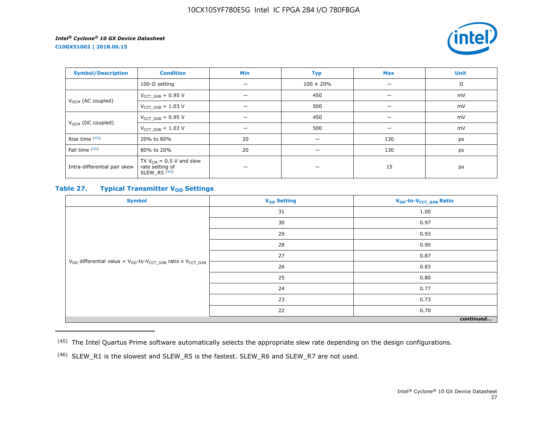**C10GX51002 | 2018.06.15**



| <b>Symbol/Description</b>     | <b>Condition</b>                                                             | Min | <b>Typ</b>     | <b>Max</b> | <b>Unit</b> |
|-------------------------------|------------------------------------------------------------------------------|-----|----------------|------------|-------------|
|                               | 100-Ω setting                                                                | —   | $100 \pm 20\%$ |            | Ω           |
| V <sub>OCM</sub> (AC coupled) | $V_{CCT_GXB} = 0.95 V$                                                       |     | 450            |            | mV          |
|                               | $V_{CCT_GXB} = 1.03 V$                                                       | -   | 500            |            | mV          |
| $V_{OCM}$ (DC coupled)        | $V_{CCT GXB} = 0.95 V$                                                       |     | 450            |            | mV          |
|                               | $V_{CCT_GXB} = 1.03 V$                                                       |     | 500            |            | mV          |
| Rise time (45)                | 20% to 80%                                                                   | 20  | –              | 130        | ps          |
| Fall time (45)                | 80% to 20%                                                                   | 20  | -              | 130        | ps          |
| Intra-differential pair skew  | TX $V_{CM}$ = 0.5 V and slew<br>rate setting of<br>$SLEW_R5$ <sup>(46)</sup> |     |                | 15         | ps          |

## **Table 27. Typical Transmitter V<sub>OD</sub>** Settings

| <b>Symbol</b>                                                                     | V <sub>OD</sub> Setting | V <sub>OD</sub> -to-V <sub>CCT_GXB</sub> Ratio |  |  |  |
|-----------------------------------------------------------------------------------|-------------------------|------------------------------------------------|--|--|--|
|                                                                                   | 31                      | 1.00                                           |  |  |  |
|                                                                                   | 30                      | 0.97                                           |  |  |  |
|                                                                                   | 29                      | 0.93                                           |  |  |  |
|                                                                                   | 28                      | 0.90                                           |  |  |  |
|                                                                                   | 27                      | 0.87                                           |  |  |  |
| $V_{OD}$ differential value = $V_{OD}$ -to- $V_{CCT\_GXB}$ ratio x $V_{CCT\_GXB}$ | 26                      | 0.83                                           |  |  |  |
|                                                                                   | 25                      | 0.80                                           |  |  |  |
|                                                                                   | 24                      | 0.77                                           |  |  |  |
|                                                                                   | 23                      | 0.73                                           |  |  |  |
|                                                                                   | 22                      | 0.70                                           |  |  |  |
| continued                                                                         |                         |                                                |  |  |  |

<sup>(45)</sup> The Intel Quartus Prime software automatically selects the appropriate slew rate depending on the design configurations.

<sup>(46)</sup> SLEW\_R1 is the slowest and SLEW\_R5 is the fastest. SLEW\_R6 and SLEW\_R7 are not used.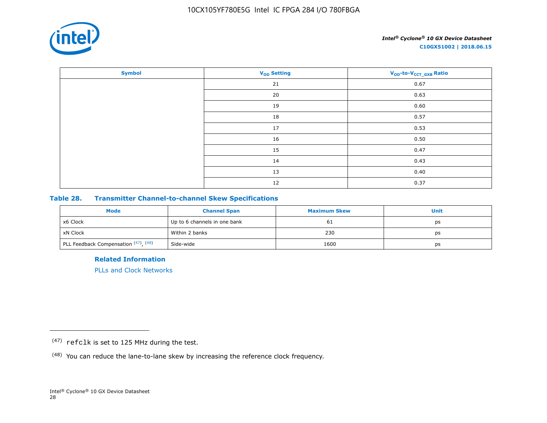

| <b>Symbol</b> | <b>V<sub>OD</sub></b> Setting | V <sub>OD</sub> -to-V <sub>CCT_GXB</sub> Ratio |
|---------------|-------------------------------|------------------------------------------------|
|               | 21                            | 0.67                                           |
|               | $20\,$                        | 0.63                                           |
|               | 19                            | 0.60                                           |
|               | 18                            | 0.57                                           |
|               | 17                            | 0.53                                           |
|               | 16                            | 0.50                                           |
|               | 15                            | 0.47                                           |
|               | 14                            | 0.43                                           |
|               | 13                            | 0.40                                           |
|               | 12                            | 0.37                                           |

## **Table 28. Transmitter Channel-to-channel Skew Specifications**

| <b>Mode</b>                          | <b>Channel Span</b>          | <b>Maximum Skew</b> | Unit |
|--------------------------------------|------------------------------|---------------------|------|
| x6 Clock                             | Up to 6 channels in one bank | 61                  | ps   |
| xN Clock                             | Within 2 banks               | 230                 | ps   |
| PLL Feedback Compensation (47), (48) | Side-wide                    | 1600                | ps   |

**Related Information**

[PLLs and Clock Networks](https://documentation.altera.com/#/link/hki1486507600636/mbh1486506924952)

<sup>(47)</sup> refclk is set to 125 MHz during the test.

<sup>(48)</sup> You can reduce the lane-to-lane skew by increasing the reference clock frequency.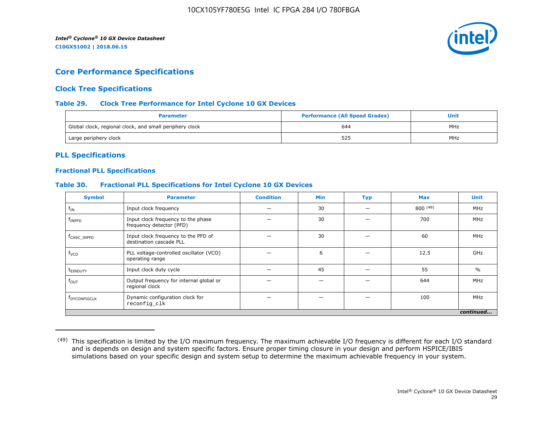

## **Core Performance Specifications**

## **Clock Tree Specifications**

#### **Table 29. Clock Tree Performance for Intel Cyclone 10 GX Devices**

| <b>Parameter</b>                                        | <b>Performance (All Speed Grades)</b> | Unit |  |
|---------------------------------------------------------|---------------------------------------|------|--|
| Global clock, regional clock, and small periphery clock | 644                                   | MHz  |  |
| Large periphery clock                                   | 525                                   | MHz  |  |

## **PLL Specifications**

#### **Fractional PLL Specifications**

#### **Table 30. Fractional PLL Specifications for Intel Cyclone 10 GX Devices**

| <b>Symbol</b>            | <b>Parameter</b>                                               | <b>Condition</b> | <b>Min</b> | <b>Typ</b> | <b>Max</b> | <b>Unit</b>   |
|--------------------------|----------------------------------------------------------------|------------------|------------|------------|------------|---------------|
| $f_{IN}$                 | Input clock frequency                                          |                  | 30         |            | 800(49)    | MHz           |
| $f_{INPP}$               | Input clock frequency to the phase<br>frequency detector (PFD) |                  | 30         |            | 700        | MHz           |
| f <sub>CASC</sub> INPFD  | Input clock frequency to the PFD of<br>destination cascade PLL |                  | 30         |            | 60         | MHz           |
| $f_{VCO}$                | PLL voltage-controlled oscillator (VCO)<br>operating range     |                  | 6          |            | 12.5       | GHz           |
| t <sub>einduty</sub>     | Input clock duty cycle                                         |                  | 45         |            | 55         | $\frac{0}{0}$ |
| $f_{\text{OUT}}$         | Output frequency for internal global or<br>regional clock      |                  |            |            | 644        | MHz           |
| f <sub>DYCONFIGCLK</sub> | Dynamic configuration clock for<br>reconfig_clk                |                  |            |            | 100        | MHz           |
|                          |                                                                |                  |            |            |            | continued     |

<sup>&</sup>lt;sup>(49)</sup> This specification is limited by the I/O maximum frequency. The maximum achievable I/O frequency is different for each I/O standard and is depends on design and system specific factors. Ensure proper timing closure in your design and perform HSPICE/IBIS simulations based on your specific design and system setup to determine the maximum achievable frequency in your system.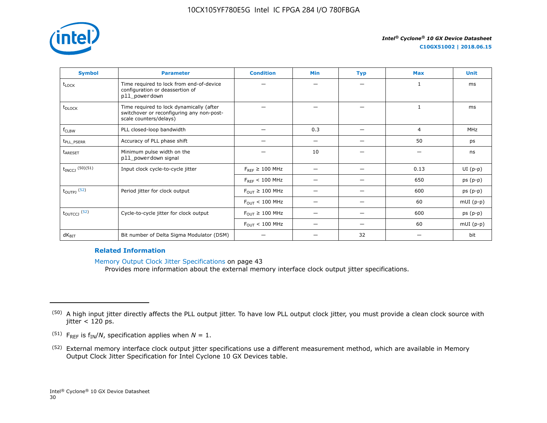

| <b>Symbol</b>              | <b>Parameter</b>                                                                                                | <b>Condition</b>                      | Min | <b>Typ</b> | <b>Max</b> | <b>Unit</b> |
|----------------------------|-----------------------------------------------------------------------------------------------------------------|---------------------------------------|-----|------------|------------|-------------|
| t <sub>LOCK</sub>          | Time required to lock from end-of-device<br>configuration or deassertion of<br>pll_powerdown                    |                                       |     |            | 1          | ms          |
| t <sub>DLOCK</sub>         | Time required to lock dynamically (after<br>switchover or reconfiguring any non-post-<br>scale counters/delays) |                                       |     |            | 1          | ms          |
| f <sub>CLBW</sub>          | PLL closed-loop bandwidth                                                                                       |                                       | 0.3 |            | 4          | MHz         |
| t <sub>pll</sub> PSERR     | Accuracy of PLL phase shift                                                                                     |                                       | —   |            | 50         | ps          |
| <b>t</b> <sub>ARESET</sub> | Minimum pulse width on the<br>pll_powerdown signal                                                              |                                       | 10  |            | —          | ns          |
| $t_{INCCJ}$ (50)(51)       | Input clock cycle-to-cycle jitter                                                                               | $F_{REF} \geq 100$ MHz                |     | -          | 0.13       | $UI(p-p)$   |
|                            |                                                                                                                 | $F_{REF}$ < 100 MHz                   |     |            | 650        | $ps(p-p)$   |
| $t_{\text{OUTPJ}}$ (52)    | Period jitter for clock output                                                                                  | $F_{\text{OUT}} \geq 100 \text{ MHz}$ |     |            | 600        | $ps(p-p)$   |
|                            |                                                                                                                 | $F_{\text{OUT}} < 100 \text{ MHz}$    |     | -          | 60         | $mUI(p-p)$  |
| $t_{\text{OUTCCJ}}$ (52)   | Cycle-to-cycle jitter for clock output                                                                          | $F_{OUT} \geq 100$ MHz                |     |            | 600        | $ps(p-p)$   |
|                            |                                                                                                                 | $F_{\text{OUT}} < 100 \text{ MHz}$    |     |            | 60         | $mUI(p-p)$  |
| $dK_{\text{BIT}}$          | Bit number of Delta Sigma Modulator (DSM)                                                                       |                                       |     | 32         |            | bit         |

#### **Related Information**

Memory Output Clock Jitter Specifications on page 43

Provides more information about the external memory interface clock output jitter specifications.

- <sup>(51)</sup> F<sub>REF</sub> is  $f_{IN}/N$ , specification applies when  $N = 1$ .
- (52) External memory interface clock output jitter specifications use a different measurement method, which are available in Memory Output Clock Jitter Specification for Intel Cyclone 10 GX Devices table.

<sup>&</sup>lt;sup>(50)</sup> A high input jitter directly affects the PLL output jitter. To have low PLL output clock jitter, you must provide a clean clock source with jitter  $<$  120 ps.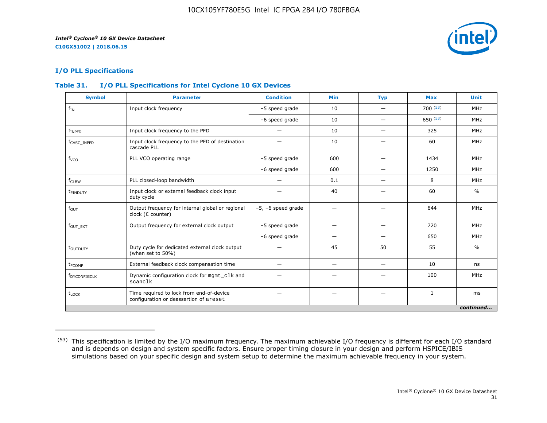

## **I/O PLL Specifications**

## **Table 31. I/O PLL Specifications for Intel Cyclone 10 GX Devices**

| <b>Symbol</b>            | <b>Parameter</b>                                                                   | <b>Condition</b>        | <b>Min</b>               | <b>Typ</b>               | <b>Max</b>   | <b>Unit</b>   |
|--------------------------|------------------------------------------------------------------------------------|-------------------------|--------------------------|--------------------------|--------------|---------------|
| $f_{IN}$                 | Input clock frequency                                                              | -5 speed grade          | 10                       |                          | 700(53)      | MHz           |
|                          |                                                                                    | -6 speed grade          | 10                       | —                        | 650(53)      | MHz           |
| $f_{INPFD}$              | Input clock frequency to the PFD                                                   |                         | 10                       |                          | 325          | MHz           |
| f <sub>CASC</sub> INPFD  | Input clock frequency to the PFD of destination<br>cascade PLL                     |                         | 10                       |                          | 60           | MHz           |
| f <sub>vco</sub>         | PLL VCO operating range                                                            | -5 speed grade          | 600                      | $\qquad \qquad$          | 1434         | MHz           |
|                          |                                                                                    | -6 speed grade          | 600                      | $\overline{\phantom{0}}$ | 1250         | MHz           |
| $f_{CLBW}$               | PLL closed-loop bandwidth                                                          | —                       | 0.1                      | $\overline{\phantom{0}}$ | 8            | MHz           |
| t <sub>einduty</sub>     | Input clock or external feedback clock input<br>duty cycle                         |                         | 40                       |                          | 60           | $\frac{0}{0}$ |
| $f_{\text{OUT}}$         | Output frequency for internal global or regional<br>clock (C counter)              | $-5$ , $-6$ speed grade | -                        |                          | 644          | MHz           |
| $f_{OUT\_EXT}$           | Output frequency for external clock output                                         | -5 speed grade          | -                        |                          | 720          | MHz           |
|                          |                                                                                    | -6 speed grade          | -                        |                          | 650          | MHz           |
| t <sub>outputy</sub>     | Duty cycle for dedicated external clock output<br>(when set to 50%)                |                         | 45                       | 50                       | 55           | $\frac{0}{0}$ |
| t <sub>FCOMP</sub>       | External feedback clock compensation time                                          |                         | $\overline{\phantom{m}}$ | $\qquad \qquad$          | 10           | ns            |
| f <sub>DYCONFIGCLK</sub> | Dynamic configuration clock for mgmt_clk and<br>scanclk                            |                         |                          |                          | 100          | MHz           |
| $t_{\text{LOCK}}$        | Time required to lock from end-of-device<br>configuration or deassertion of areset |                         |                          |                          | $\mathbf{1}$ | ms            |
|                          |                                                                                    |                         |                          |                          |              | continued     |

<sup>(53)</sup> This specification is limited by the I/O maximum frequency. The maximum achievable I/O frequency is different for each I/O standard and is depends on design and system specific factors. Ensure proper timing closure in your design and perform HSPICE/IBIS simulations based on your specific design and system setup to determine the maximum achievable frequency in your system.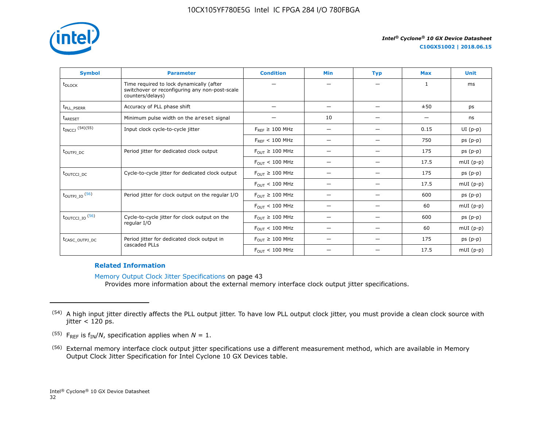

| <b>Symbol</b>                    | <b>Parameter</b>                                                                                               | <b>Condition</b>                      | <b>Min</b>               | <b>Typ</b>               | <b>Max</b>   | <b>Unit</b> |
|----------------------------------|----------------------------------------------------------------------------------------------------------------|---------------------------------------|--------------------------|--------------------------|--------------|-------------|
| t <sub>DLOCK</sub>               | Time required to lock dynamically (after<br>switchover or reconfiguring any non-post-scale<br>counters/delays) |                                       |                          |                          | $\mathbf{1}$ | ms          |
| t <sub>pll</sub> PSERR           | Accuracy of PLL phase shift                                                                                    |                                       | $\overline{\phantom{0}}$ |                          | ±50          | ps          |
| <b>t</b> <sub>ARESET</sub>       | Minimum pulse width on the areset signal                                                                       |                                       | 10                       |                          |              | ns          |
| $t_{INCCJ}$ (54)(55)             | Input clock cycle-to-cycle jitter                                                                              | $F_{REF} \geq 100$ MHz                | $\overline{\phantom{0}}$ | —                        | 0.15         | $UI(p-p)$   |
|                                  |                                                                                                                | $F_{RFF}$ < 100 MHz                   |                          |                          | 750          | $ps(p-p)$   |
| t <sub>outpj</sub> <sub>DC</sub> | Period jitter for dedicated clock output                                                                       | $F_{OUT} \geq 100$ MHz                |                          |                          | 175          | $ps(p-p)$   |
|                                  |                                                                                                                | $F_{\text{OUT}} < 100 \text{ MHz}$    | $\overline{\phantom{0}}$ | $\overline{\phantom{0}}$ | 17.5         | $mUI(p-p)$  |
| tourcci <sub>DC</sub>            | Cycle-to-cycle jitter for dedicated clock output                                                               | $F_{OUT} \geq 100$ MHz                | -                        |                          | 175          | $ps(p-p)$   |
|                                  |                                                                                                                | $F_{OUT}$ < 100 MHz                   |                          | —                        | 17.5         | $mUI(p-p)$  |
| $t_{\text{OUTPJ\_IO}}$ (56)      | Period jitter for clock output on the regular I/O                                                              | $F_{\text{OUT}} \geq 100 \text{ MHz}$ | -                        |                          | 600          | $ps(p-p)$   |
|                                  |                                                                                                                | $F_{OIII}$ < 100 MHz                  |                          |                          | 60           | $mUI(p-p)$  |
| $t_{\text{OUTCCJ\_IO}}$ (56)     | Cycle-to-cycle jitter for clock output on the                                                                  | $F_{\text{OUT}} \geq 100 \text{ MHz}$ | -                        |                          | 600          | $ps(p-p)$   |
|                                  | regular I/O                                                                                                    | $F_{\text{OUT}} < 100 \text{ MHz}$    | $\overline{\phantom{0}}$ | -                        | 60           | $mUI(p-p)$  |
| t <sub>CASC_OUTPJ_DC</sub>       | Period jitter for dedicated clock output in                                                                    | $F_{OUT} \geq 100$ MHz                |                          |                          | 175          | $ps(p-p)$   |
|                                  | cascaded PLLs                                                                                                  | $F_{\text{OUT}} < 100 \text{ MHz}$    |                          |                          | 17.5         | $mUI(p-p)$  |

#### **Related Information**

Memory Output Clock Jitter Specifications on page 43 Provides more information about the external memory interface clock output jitter specifications.

<sup>&</sup>lt;sup>(54)</sup> A high input jitter directly affects the PLL output jitter. To have low PLL output clock jitter, you must provide a clean clock source with jitter  $<$  120 ps.

<sup>&</sup>lt;sup>(55)</sup> F<sub>REF</sub> is  $f_{IN}/N$ , specification applies when  $N = 1$ .

<sup>(56)</sup> External memory interface clock output jitter specifications use a different measurement method, which are available in Memory Output Clock Jitter Specification for Intel Cyclone 10 GX Devices table.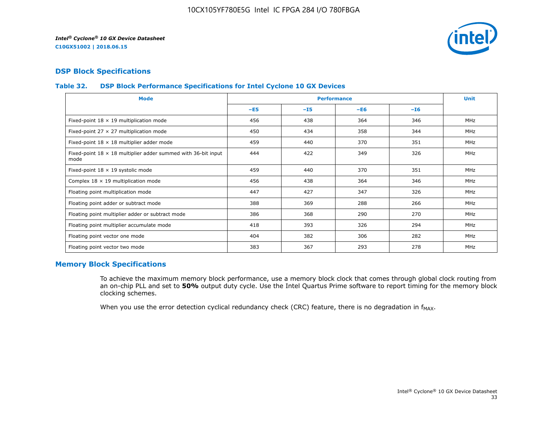

## **DSP Block Specifications**

#### **Table 32. DSP Block Performance Specifications for Intel Cyclone 10 GX Devices**

| <b>Mode</b>                                                                  |       | <b>Performance</b> |       |       | <b>Unit</b> |
|------------------------------------------------------------------------------|-------|--------------------|-------|-------|-------------|
|                                                                              | $-E5$ | $-15$              | $-E6$ | $-16$ |             |
| Fixed-point $18 \times 19$ multiplication mode                               | 456   | 438                | 364   | 346   | <b>MHz</b>  |
| Fixed-point 27 $\times$ 27 multiplication mode                               | 450   | 434                | 358   | 344   | <b>MHz</b>  |
| Fixed-point $18 \times 18$ multiplier adder mode                             | 459   | 440                | 370   | 351   | <b>MHz</b>  |
| Fixed-point $18 \times 18$ multiplier adder summed with 36-bit input<br>mode | 444   | 422                | 349   | 326   | <b>MHz</b>  |
| Fixed-point 18 x 19 systolic mode                                            | 459   | 440                | 370   | 351   | <b>MHz</b>  |
| Complex $18 \times 19$ multiplication mode                                   | 456   | 438                | 364   | 346   | MHz         |
| Floating point multiplication mode                                           | 447   | 427                | 347   | 326   | <b>MHz</b>  |
| Floating point adder or subtract mode                                        | 388   | 369                | 288   | 266   | MHz         |
| Floating point multiplier adder or subtract mode                             | 386   | 368                | 290   | 270   | <b>MHz</b>  |
| Floating point multiplier accumulate mode                                    | 418   | 393                | 326   | 294   | <b>MHz</b>  |
| Floating point vector one mode                                               | 404   | 382                | 306   | 282   | MHz         |
| Floating point vector two mode                                               | 383   | 367                | 293   | 278   | <b>MHz</b>  |

## **Memory Block Specifications**

To achieve the maximum memory block performance, use a memory block clock that comes through global clock routing from an on-chip PLL and set to **50%** output duty cycle. Use the Intel Quartus Prime software to report timing for the memory block clocking schemes.

When you use the error detection cyclical redundancy check (CRC) feature, there is no degradation in  $f_{MAX}$ .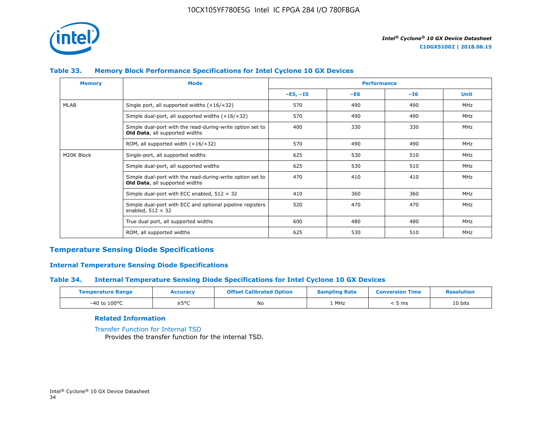

## **Table 33. Memory Block Performance Specifications for Intel Cyclone 10 GX Devices**

| <b>Memory</b> | <b>Mode</b>                                                                                        |            | <b>Performance</b> |       |             |  |
|---------------|----------------------------------------------------------------------------------------------------|------------|--------------------|-------|-------------|--|
|               |                                                                                                    | $-E5, -I5$ | $-E6$              | $-I6$ | <b>Unit</b> |  |
| MLAB          | Single port, all supported widths $(x16/x32)$                                                      | 570        | 490                | 490   | <b>MHz</b>  |  |
|               | Simple dual-port, all supported widths $(x16/x32)$                                                 | 570        | 490                | 490   | <b>MHz</b>  |  |
|               | Simple dual-port with the read-during-write option set to<br>Old Data, all supported widths        | 400        | 330                | 330   | <b>MHz</b>  |  |
|               | ROM, all supported width $(x16/x32)$                                                               | 570        | 490                | 490   | MHz         |  |
| M20K Block    | Single-port, all supported widths                                                                  | 625        | 530                | 510   | <b>MHz</b>  |  |
|               | Simple dual-port, all supported widths                                                             | 625        | 530                | 510   | MHz         |  |
|               | Simple dual-port with the read-during-write option set to<br><b>Old Data, all supported widths</b> | 470        | 410                | 410   | <b>MHz</b>  |  |
|               | Simple dual-port with ECC enabled, $512 \times 32$                                                 | 410        | 360                | 360   | <b>MHz</b>  |  |
|               | Simple dual-port with ECC and optional pipeline registers<br>enabled, $512 \times 32$              | 520        | 470                | 470   | <b>MHz</b>  |  |
|               | True dual port, all supported widths                                                               | 600        | 480                | 480   | MHz         |  |
|               | ROM, all supported widths                                                                          | 625        | 530                | 510   | <b>MHz</b>  |  |

#### **Temperature Sensing Diode Specifications**

#### **Internal Temperature Sensing Diode Specifications**

#### **Table 34. Internal Temperature Sensing Diode Specifications for Intel Cyclone 10 GX Devices**

| <b>Temperature Range</b> | <b>Accuracy</b> | <b>Offset Calibrated Option</b> | <b>Sampling Rate</b> | <b>Conversion Time</b> | <b>Resolution</b> |
|--------------------------|-----------------|---------------------------------|----------------------|------------------------|-------------------|
| $-40$ to $100^{\circ}$ C | ±5°C            | No                              | 1 MHz                | ms د                   | 10 bits           |

#### **Related Information**

[Transfer Function for Internal TSD](https://www.altera.com/documentation/vua1487061384661.html#utv1490341047242) Provides the transfer function for the internal TSD.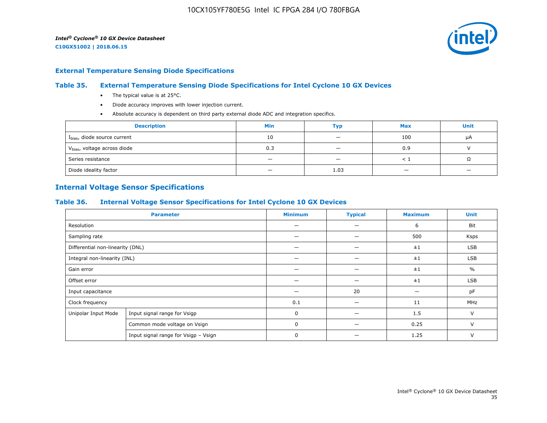

#### **External Temperature Sensing Diode Specifications**

#### **Table 35. External Temperature Sensing Diode Specifications for Intel Cyclone 10 GX Devices**

- The typical value is at 25°C.
- Diode accuracy improves with lower injection current.
- Absolute accuracy is dependent on third party external diode ADC and integration specifics.

| <b>Description</b>                       | <b>Min</b> | Тур                      | <b>Max</b> | <b>Unit</b> |
|------------------------------------------|------------|--------------------------|------------|-------------|
| I <sub>bias</sub> , diode source current | 10         | $\overline{\phantom{0}}$ | 100        | μA          |
| V <sub>bias</sub> , voltage across diode | 0.3        |                          | 0.9        |             |
| Series resistance                        |            | $\overline{\phantom{a}}$ |            | 75          |
| Diode ideality factor                    | -          | 1.03                     |            |             |

## **Internal Voltage Sensor Specifications**

#### **Table 36. Internal Voltage Sensor Specifications for Intel Cyclone 10 GX Devices**

| <b>Parameter</b>                 |                                      | <b>Minimum</b> | <b>Typical</b>           | <b>Maximum</b> | <b>Unit</b>   |
|----------------------------------|--------------------------------------|----------------|--------------------------|----------------|---------------|
| Resolution                       |                                      |                | —                        | 6              | Bit           |
| Sampling rate                    |                                      |                | $\overline{\phantom{0}}$ | 500            | Ksps          |
| Differential non-linearity (DNL) |                                      |                |                          | ±1             | <b>LSB</b>    |
| Integral non-linearity (INL)     |                                      |                |                          | ±1             | <b>LSB</b>    |
| Gain error                       |                                      |                |                          | ±1             | $\frac{0}{0}$ |
| Offset error                     |                                      |                |                          | ±1             | LSB           |
| Input capacitance                |                                      |                | 20                       |                | pF            |
| Clock frequency                  |                                      | 0.1            | -                        | 11             | MHz           |
| Unipolar Input Mode              | Input signal range for Vsigp         | $\Omega$       |                          | 1.5            | $\vee$        |
|                                  | Common mode voltage on Vsign         | $\mathbf 0$    |                          | 0.25           | $\vee$        |
|                                  | Input signal range for Vsigp - Vsign | 0              |                          | 1.25           | V             |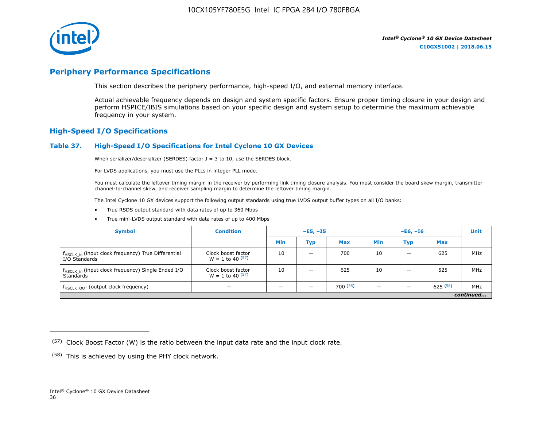

## **Periphery Performance Specifications**

This section describes the periphery performance, high-speed I/O, and external memory interface.

Actual achievable frequency depends on design and system specific factors. Ensure proper timing closure in your design and perform HSPICE/IBIS simulations based on your specific design and system setup to determine the maximum achievable frequency in your system.

#### **High-Speed I/O Specifications**

#### **Table 37. High-Speed I/O Specifications for Intel Cyclone 10 GX Devices**

When serializer/deserializer (SERDES) factor  $J = 3$  to 10, use the SERDES block.

For LVDS applications, you must use the PLLs in integer PLL mode.

You must calculate the leftover timing margin in the receiver by performing link timing closure analysis. You must consider the board skew margin, transmitter channel-to-channel skew, and receiver sampling margin to determine the leftover timing margin.

The Intel Cyclone 10 GX devices support the following output standards using true LVDS output buffer types on all I/O banks:

- True RSDS output standard with data rates of up to 360 Mbps
- True mini-LVDS output standard with data rates of up to 400 Mbps

| <b>Symbol</b>                                                                    | <b>Condition</b>                           | $-E5, -15$ |                          | $-E6, -I6$ |            |     | <b>Unit</b> |     |
|----------------------------------------------------------------------------------|--------------------------------------------|------------|--------------------------|------------|------------|-----|-------------|-----|
|                                                                                  |                                            | Min        | Тур                      | <b>Max</b> | <b>Min</b> | Тур | <b>Max</b>  |     |
| f <sub>HSCLK_in</sub> (input clock frequency) True Differential<br>I/O Standards | Clock boost factor<br>$W = 1$ to 40 $(57)$ | 10         | $\overline{\phantom{0}}$ | 700        | 10         | -   | 625         | MHz |
| f <sub>HSCLK_in</sub> (input clock frequency) Single Ended I/O<br>Standards      | Clock boost factor<br>$W = 1$ to 40 $(57)$ | 10         | –                        | 625        | 10         |     | 525         | MHz |
| f <sub>HSCLK_OUT</sub> (output clock frequency)                                  |                                            |            |                          | 700(58)    |            |     | 625(58)     | MHz |
| continued                                                                        |                                            |            |                          |            |            |     |             |     |

 $(57)$  Clock Boost Factor (W) is the ratio between the input data rate and the input clock rate.

 $(58)$  This is achieved by using the PHY clock network.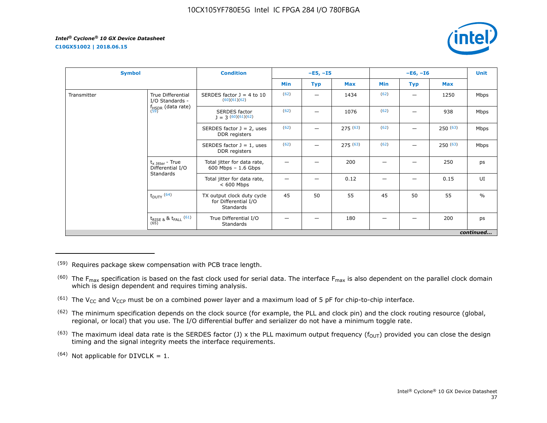**C10GX51002 | 2018.06.15**



| <b>Symbol</b> |                                                   | <b>Condition</b>                                                |      | $-E5, -I5$ |            |      | $-E6, -I6$ |            | <b>Unit</b>   |
|---------------|---------------------------------------------------|-----------------------------------------------------------------|------|------------|------------|------|------------|------------|---------------|
|               |                                                   |                                                                 | Min  | <b>Typ</b> | <b>Max</b> | Min  | Typ        | <b>Max</b> |               |
| Transmitter   | True Differential<br>I/O Standards -              | SERDES factor $J = 4$ to 10<br>(60)(61)(62)                     | (62) |            | 1434       | (62) | —          | 1250       | Mbps          |
|               | $f_{HSDR}$ (data rate)<br>$(59)$                  | <b>SERDES</b> factor<br>$J = 3(60)(61)(62)$                     | (62) |            | 1076       | (62) |            | 938        | Mbps          |
|               |                                                   | SERDES factor $J = 2$ , uses<br>DDR registers                   | (62) |            | 275(63)    | (62) |            | 250(63)    | Mbps          |
|               |                                                   | SERDES factor $J = 1$ , uses<br>DDR registers                   | (62) |            | 275(63)    | (62) |            | 250(63)    | Mbps          |
|               | $t_{x \text{ Jitter}}$ - True<br>Differential I/O | Total jitter for data rate,<br>$600$ Mbps $-1.6$ Gbps           |      |            | 200        | -    |            | 250        | ps            |
|               | Standards                                         | Total jitter for data rate,<br>$< 600$ Mbps                     |      |            | 0.12       |      |            | 0.15       | UI            |
|               | $t_{DUTY}$ (64)                                   | TX output clock duty cycle<br>for Differential I/O<br>Standards | 45   | 50         | 55         | 45   | 50         | 55         | $\frac{0}{0}$ |
|               | $t_{\text{RISE 8}}$ & $t_{\text{FALL}}$ (61)      | True Differential I/O<br>Standards                              |      |            | 180        |      |            | 200        | ps            |
|               |                                                   |                                                                 |      |            |            |      |            |            | continued     |

<sup>(59)</sup> Requires package skew compensation with PCB trace length.

- $^{(60)}$  The F<sub>max</sub> specification is based on the fast clock used for serial data. The interface F<sub>max</sub> is also dependent on the parallel clock domain which is design dependent and requires timing analysis.
- <sup>(61)</sup> The V<sub>CC</sub> and V<sub>CCP</sub> must be on a combined power layer and a maximum load of 5 pF for chip-to-chip interface.
- <sup>(62)</sup> The minimum specification depends on the clock source (for example, the PLL and clock pin) and the clock routing resource (global, regional, or local) that you use. The I/O differential buffer and serializer do not have a minimum toggle rate.
- <sup>(63)</sup> The maximum ideal data rate is the SERDES factor (J) x the PLL maximum output frequency ( $f_{OUT}$ ) provided you can close the design timing and the signal integrity meets the interface requirements.
- $(64)$  Not applicable for DIVCLK = 1.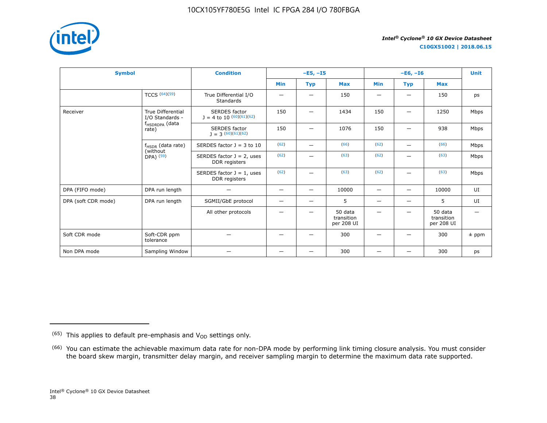

**C10GX51002 | 2018.06.15**

| <b>Symbol</b>       |                                                     | <b>Condition</b>                              |                          | $-E5, -15$               |                                     |                          | $-E6, -I6$               |                                     |         |  |
|---------------------|-----------------------------------------------------|-----------------------------------------------|--------------------------|--------------------------|-------------------------------------|--------------------------|--------------------------|-------------------------------------|---------|--|
|                     |                                                     |                                               | <b>Min</b>               | <b>Typ</b>               | <b>Max</b>                          | <b>Min</b>               | <b>Typ</b>               | <b>Max</b>                          |         |  |
|                     | TCCS $(64)(59)$                                     | True Differential I/O<br><b>Standards</b>     |                          | $\overline{\phantom{0}}$ | 150                                 | $\overline{\phantom{0}}$ | -                        | 150                                 | ps      |  |
| Receiver            | <b>True Differential</b><br>I/O Standards -         | SERDES factor<br>$J = 4$ to 10 $(60)(61)(62)$ | 150                      | $\qquad \qquad -$        | 1434                                | 150                      | $\qquad \qquad$          | 1250                                | Mbps    |  |
|                     | f <sub>HSDRDPA</sub> (data<br>rate)                 | <b>SERDES</b> factor<br>$1 = 3(60)(61)(62)$   | 150                      |                          | 1076                                | 150                      |                          | 938                                 | Mbps    |  |
|                     | $f_{HSDR}$ (data rate)<br>(without<br>$DPA)$ $(59)$ | SERDES factor $J = 3$ to 10                   | (62)                     | $\overline{\phantom{0}}$ | (66)                                | (62)                     | $\overline{\phantom{m}}$ | (66)                                | Mbps    |  |
|                     |                                                     | SERDES factor $J = 2$ , uses<br>DDR registers | (62)                     |                          | (63)                                | (62)                     |                          | (63)                                | Mbps    |  |
|                     |                                                     | SERDES factor $J = 1$ , uses<br>DDR registers | (62)                     | —                        | (63)                                | (62)                     | —                        | (63)                                | Mbps    |  |
| DPA (FIFO mode)     | DPA run length                                      | -                                             | $\overline{\phantom{m}}$ | $\overline{\phantom{0}}$ | 10000                               | $\overline{\phantom{m}}$ | $\overline{\phantom{0}}$ | 10000                               | UI      |  |
| DPA (soft CDR mode) | DPA run length                                      | SGMII/GbE protocol                            | -                        | $\qquad \qquad -$        | 5                                   | $\qquad \qquad$          | $\overline{\phantom{0}}$ | 5                                   | UI      |  |
|                     |                                                     | All other protocols                           |                          |                          | 50 data<br>transition<br>per 208 UI |                          |                          | 50 data<br>transition<br>per 208 UI |         |  |
| Soft CDR mode       | Soft-CDR ppm<br>tolerance                           |                                               |                          |                          | 300                                 |                          |                          | 300                                 | $±$ ppm |  |
| Non DPA mode        | Sampling Window                                     |                                               | —                        | —                        | 300                                 |                          |                          | 300                                 | ps      |  |

 $(65)$  This applies to default pre-emphasis and  $V_{OD}$  settings only.

<sup>&</sup>lt;sup>(66)</sup> You can estimate the achievable maximum data rate for non-DPA mode by performing link timing closure analysis. You must consider the board skew margin, transmitter delay margin, and receiver sampling margin to determine the maximum data rate supported.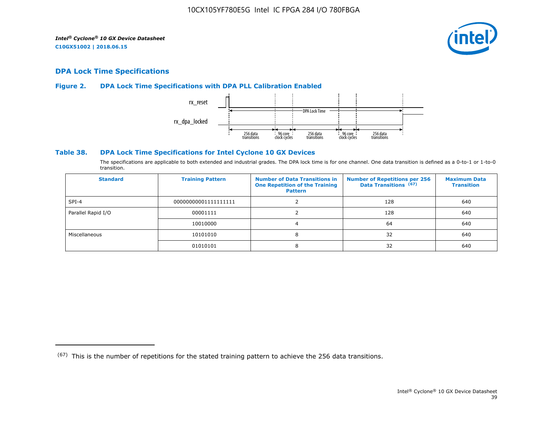

## **DPA Lock Time Specifications**

#### **Figure 2. DPA Lock Time Specifications with DPA PLL Calibration Enabled**



#### **Table 38. DPA Lock Time Specifications for Intel Cyclone 10 GX Devices**

The specifications are applicable to both extended and industrial grades. The DPA lock time is for one channel. One data transition is defined as a 0-to-1 or 1-to-0 transition.

| <b>Standard</b>    | <b>Training Pattern</b> | <b>Number of Data Transitions in</b><br><b>One Repetition of the Training</b><br><b>Pattern</b> | <b>Number of Repetitions per 256</b><br>Data Transitions (67) | <b>Maximum Data</b><br><b>Transition</b> |
|--------------------|-------------------------|-------------------------------------------------------------------------------------------------|---------------------------------------------------------------|------------------------------------------|
| $SPI-4$            | 00000000001111111111    |                                                                                                 | 128                                                           | 640                                      |
| Parallel Rapid I/O | 00001111                |                                                                                                 | 128                                                           | 640                                      |
|                    | 10010000                |                                                                                                 | 64                                                            | 640                                      |
| Miscellaneous      | 10101010                | 8                                                                                               | 32                                                            | 640                                      |
|                    | 01010101                | 8                                                                                               | 32                                                            | 640                                      |

 $(67)$  This is the number of repetitions for the stated training pattern to achieve the 256 data transitions.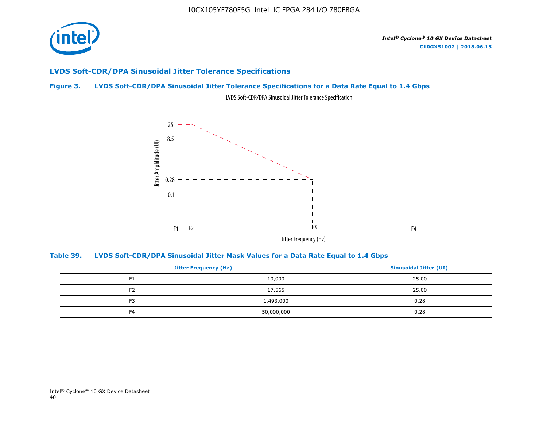

## **LVDS Soft-CDR/DPA Sinusoidal Jitter Tolerance Specifications**

## **Figure 3. LVDS Soft-CDR/DPA Sinusoidal Jitter Tolerance Specifications for a Data Rate Equal to 1.4 Gbps**



LVDS Soft-CDR/DPA Sinusoidal Jitter Tolerance Specification

**Table 39. LVDS Soft-CDR/DPA Sinusoidal Jitter Mask Values for a Data Rate Equal to 1.4 Gbps**

|                | <b>Jitter Frequency (Hz)</b> |       |  |  |  |
|----------------|------------------------------|-------|--|--|--|
| F1             | 10,000                       | 25.00 |  |  |  |
| F <sub>2</sub> | 17,565                       | 25.00 |  |  |  |
| F <sub>3</sub> | 1,493,000                    | 0.28  |  |  |  |
| F <sub>4</sub> | 50,000,000                   | 0.28  |  |  |  |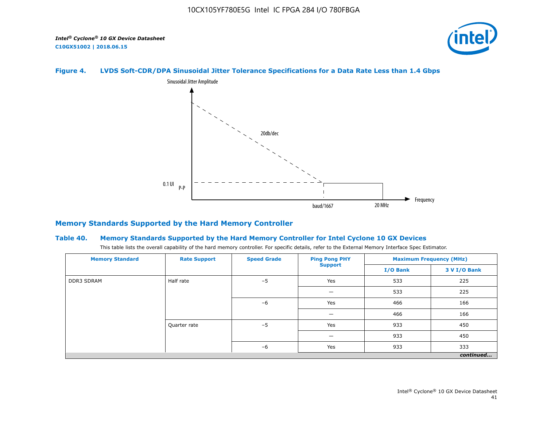

## **Figure 4. LVDS Soft-CDR/DPA Sinusoidal Jitter Tolerance Specifications for a Data Rate Less than 1.4 Gbps**



## **Memory Standards Supported by the Hard Memory Controller**

#### **Table 40. Memory Standards Supported by the Hard Memory Controller for Intel Cyclone 10 GX Devices**

This table lists the overall capability of the hard memory controller. For specific details, refer to the External Memory Interface Spec Estimator.

| <b>Memory Standard</b> | <b>Rate Support</b> | <b>Speed Grade</b> | <b>Ping Pong PHY</b> | <b>Maximum Frequency (MHz)</b> |              |  |
|------------------------|---------------------|--------------------|----------------------|--------------------------------|--------------|--|
|                        |                     |                    | <b>Support</b>       | I/O Bank                       | 3 V I/O Bank |  |
| <b>DDR3 SDRAM</b>      | Half rate           | $-5$               | Yes                  | 533                            | 225          |  |
|                        | Quarter rate        |                    | -                    | 533                            | 225          |  |
|                        |                     | $-6$<br>$-5$       | Yes                  | 466                            | 166          |  |
|                        |                     |                    | -                    | 466                            | 166          |  |
|                        |                     |                    | Yes                  | 933                            | 450          |  |
|                        |                     |                    | –                    | 933                            | 450          |  |
|                        |                     | $-6$               | Yes                  | 933                            | 333          |  |
|                        |                     |                    |                      |                                | continued    |  |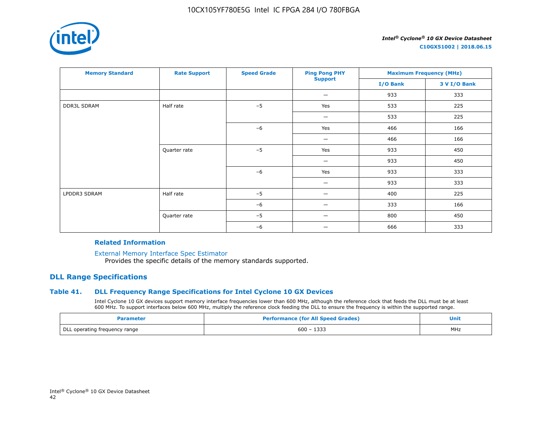

| <b>Memory Standard</b> | <b>Rate Support</b> | <b>Speed Grade</b> | <b>Ping Pong PHY</b> | <b>Maximum Frequency (MHz)</b> |              |
|------------------------|---------------------|--------------------|----------------------|--------------------------------|--------------|
|                        |                     |                    | <b>Support</b>       | I/O Bank                       | 3 V I/O Bank |
|                        |                     |                    | -                    | 933                            | 333          |
| <b>DDR3L SDRAM</b>     | Half rate           | $-5$               | Yes                  | 533                            | 225          |
|                        |                     |                    | —                    | 533                            | 225          |
|                        |                     | $-6$               | Yes                  | 466                            | 166          |
|                        |                     |                    | —                    | 466                            | 166          |
|                        | Quarter rate        | $-5$               | Yes                  | 933                            | 450          |
|                        |                     |                    | —                    | 933                            | 450          |
|                        |                     | $-6$               | Yes                  | 933                            | 333          |
|                        |                     |                    | —                    | 933                            | 333          |
| LPDDR3 SDRAM           | Half rate           | $-5$               | —                    | 400                            | 225          |
|                        |                     | $-6$               |                      | 333                            | 166          |
|                        | Quarter rate        | $-5$               |                      | 800                            | 450          |
|                        |                     | $-6$               |                      | 666                            | 333          |

#### **Related Information**

[External Memory Interface Spec Estimator](https://www.altera.com/products/intellectual-property/best-in-class-ip/external-memory/support-selector.html)

Provides the specific details of the memory standards supported.

## **DLL Range Specifications**

#### **Table 41. DLL Frequency Range Specifications for Intel Cyclone 10 GX Devices**

Intel Cyclone 10 GX devices support memory interface frequencies lower than 600 MHz, although the reference clock that feeds the DLL must be at least 600 MHz. To support interfaces below 600 MHz, multiply the reference clock feeding the DLL to ensure the frequency is within the supported range.

| Parameter                     | <b>Performance (for All Speed Grades)</b> | Unit |
|-------------------------------|-------------------------------------------|------|
| DLL operating frequency range | $600 - 1333$                              | MHz  |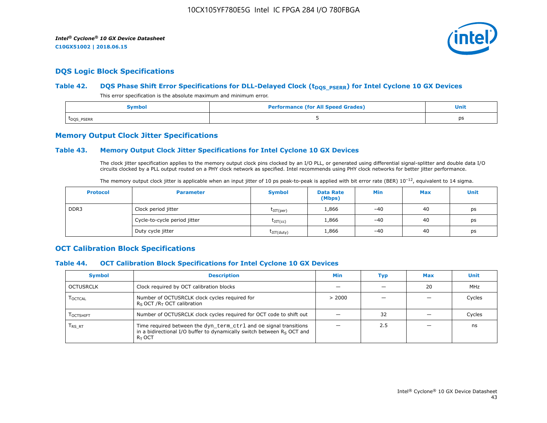

## **DQS Logic Block Specifications**

#### Table 42. **DQS Phase Shift Error Specifications for DLL-Delayed Clock (t<sub>DQS\_PSERR</sub>) for Intel Cyclone 10 GX Devices**

This error specification is the absolute maximum and minimum error.

| <b>Performance (for All Speed Grades)</b><br><b>Symbol</b> |  | <b>Unit</b> |
|------------------------------------------------------------|--|-------------|
| t <sub>DQS</sub> _PSERR                                    |  | ps          |

#### **Memory Output Clock Jitter Specifications**

#### **Table 43. Memory Output Clock Jitter Specifications for Intel Cyclone 10 GX Devices**

The clock jitter specification applies to the memory output clock pins clocked by an I/O PLL, or generated using differential signal-splitter and double data I/O circuits clocked by a PLL output routed on a PHY clock network as specified. Intel recommends using PHY clock networks for better jitter performance.

| The memory output clock jitter is applicable when an input jitter of 10 ps peak-to-peak is applied with bit error rate (BER) $10^{-12}$ , equivalent to 14 sigma. |
|-------------------------------------------------------------------------------------------------------------------------------------------------------------------|
|-------------------------------------------------------------------------------------------------------------------------------------------------------------------|

| <b>Protocol</b> | <b>Parameter</b>             | <b>Symbol</b>           | <b>Data Rate</b><br>(Mbps) | Min   | <b>Max</b> | Unit |
|-----------------|------------------------------|-------------------------|----------------------------|-------|------------|------|
| DDR3            | Clock period jitter          | $t_{\text{JIT(per)}}$   | 1,866                      | $-40$ | 40         | ps   |
|                 | Cycle-to-cycle period jitter | $\tau_{\text{JIT(cc)}}$ | 1,866                      | $-40$ | 40         | ps   |
|                 | Duty cycle jitter            | $t$ JIT $(duty)$        | 1,866                      | $-40$ | 40         | ps   |

## **OCT Calibration Block Specifications**

#### **Table 44. OCT Calibration Block Specifications for Intel Cyclone 10 GX Devices**

| <b>Symbol</b>                 | <b>Description</b>                                                                                                                                         | Min    | Typ | <b>Max</b> | Unit   |
|-------------------------------|------------------------------------------------------------------------------------------------------------------------------------------------------------|--------|-----|------------|--------|
| OCTUSRCLK                     | Clock required by OCT calibration blocks                                                                                                                   |        |     | 20         | MHz    |
| <b>LOCTCAL</b>                | Number of OCTUSRCLK clock cycles required for<br>$R_S$ OCT / $R_T$ OCT calibration                                                                         | > 2000 |     |            | Cycles |
| <b>LOCTSHIFT</b>              | Number of OCTUSRCLK clock cycles required for OCT code to shift out                                                                                        |        | 32  |            | Cycles |
| $\mathsf{T}_{\mathsf{RS-RT}}$ | Time required between the dyn_term_ctrl and oe signal transitions<br>in a bidirectional I/O buffer to dynamically switch between $Rs$ OCT and<br>$R_T$ OCT |        | 2.5 |            | ns     |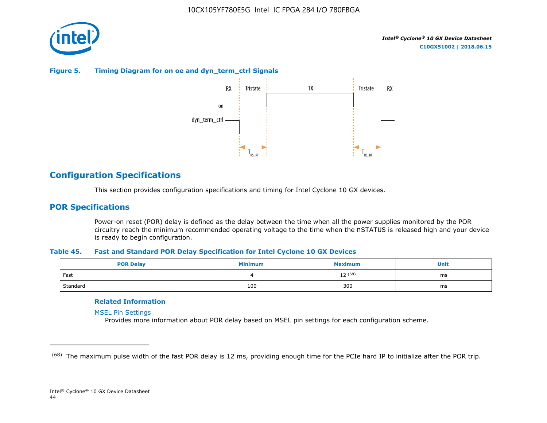

#### **Figure 5. Timing Diagram for on oe and dyn\_term\_ctrl Signals**



## **Configuration Specifications**

This section provides configuration specifications and timing for Intel Cyclone 10 GX devices.

## **POR Specifications**

Power-on reset (POR) delay is defined as the delay between the time when all the power supplies monitored by the POR circuitry reach the minimum recommended operating voltage to the time when the nSTATUS is released high and your device is ready to begin configuration.

#### **Table 45. Fast and Standard POR Delay Specification for Intel Cyclone 10 GX Devices**

| <b>POR Delay</b> | Minimum | <b>Maximum</b> | Unit |
|------------------|---------|----------------|------|
| Fast             |         | $12^{(68)}$    | ms   |
| Standard         | 100     | 300            | ms   |

#### **Related Information**

[MSEL Pin Settings](https://www.altera.com/documentation/vua1487061384661.html#qui1490602367330)

Provides more information about POR delay based on MSEL pin settings for each configuration scheme.

<sup>&</sup>lt;sup>(68)</sup> The maximum pulse width of the fast POR delay is 12 ms, providing enough time for the PCIe hard IP to initialize after the POR trip.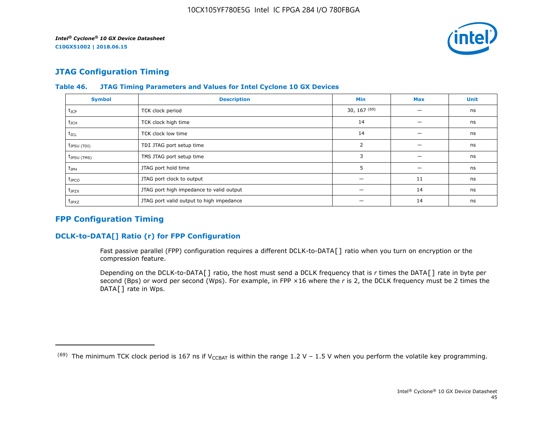

## **JTAG Configuration Timing**

| <b>Symbol</b>     | <b>Description</b>                       | <b>Min</b>     | <b>Max</b> | <b>Unit</b> |
|-------------------|------------------------------------------|----------------|------------|-------------|
| $t_{\text{JCP}}$  | TCK clock period                         | 30, 167 $(69)$ |            | ns          |
| $t_{\text{JCH}}$  | TCK clock high time                      | 14             |            | ns          |
| $t_{\text{JCL}}$  | TCK clock low time                       | 14             |            | ns          |
| $t_{JPSU(TDI)}$   | TDI JTAG port setup time                 | 2              |            | ns          |
| $t_{JPSU(TMS)}$   | TMS JTAG port setup time                 | 3              |            | ns          |
| $t_{\rm JPH}$     | JTAG port hold time                      | 5              |            | ns          |
| $t_{\text{JPCO}}$ | JTAG port clock to output                |                | 11         | ns          |
| $t_{JPZX}$        | JTAG port high impedance to valid output |                | 14         | ns          |
| $t_{JPXZ}$        | JTAG port valid output to high impedance |                | 14         | ns          |

#### **Table 46. JTAG Timing Parameters and Values for Intel Cyclone 10 GX Devices**

## **FPP Configuration Timing**

## **DCLK-to-DATA[] Ratio (r) for FPP Configuration**

Fast passive parallel (FPP) configuration requires a different DCLK-to-DATA[] ratio when you turn on encryption or the compression feature.

Depending on the DCLK-to-DATA[] ratio, the host must send a DCLK frequency that is *r* times the DATA[] rate in byte per second (Bps) or word per second (Wps). For example, in FPP ×16 where the *r* is 2, the DCLK frequency must be 2 times the DATA[] rate in Wps.

<sup>&</sup>lt;sup>(69)</sup> The minimum TCK clock period is 167 ns if V<sub>CCBAT</sub> is within the range 1.2 V – 1.5 V when you perform the volatile key programming.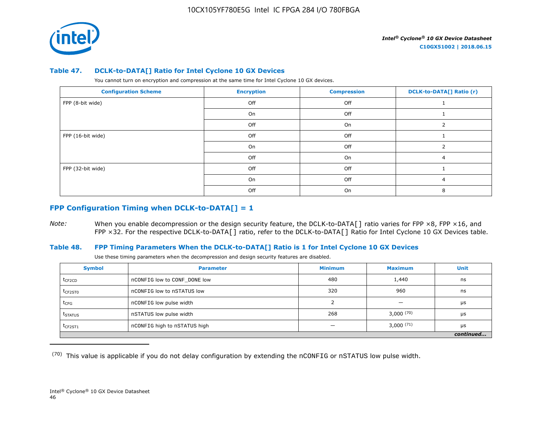

#### **Table 47. DCLK-to-DATA[] Ratio for Intel Cyclone 10 GX Devices**

You cannot turn on encryption and compression at the same time for Intel Cyclone 10 GX devices.

| <b>Configuration Scheme</b> | <b>Encryption</b> | <b>Compression</b> | <b>DCLK-to-DATA[] Ratio (r)</b> |
|-----------------------------|-------------------|--------------------|---------------------------------|
| FPP (8-bit wide)            | Off               | Off                |                                 |
|                             | On                | Off                |                                 |
|                             | Off               | On                 |                                 |
| FPP (16-bit wide)           | Off               | Off                |                                 |
|                             | On                | Off                |                                 |
|                             | Off               | On                 | 4                               |
| FPP (32-bit wide)           | Off               | Off                |                                 |
|                             | On                | Off                | 4                               |
|                             | Off               | On                 |                                 |

## **FPP Configuration Timing when DCLK-to-DATA[] = 1**

*Note:* When you enable decompression or the design security feature, the DCLK-to-DATA[] ratio varies for FPP ×8, FPP ×16, and FPP ×32. For the respective DCLK-to-DATA[] ratio, refer to the DCLK-to-DATA[] Ratio for Intel Cyclone 10 GX Devices table.

#### **Table 48. FPP Timing Parameters When the DCLK-to-DATA[] Ratio is 1 for Intel Cyclone 10 GX Devices**

Use these timing parameters when the decompression and design security features are disabled.

| <b>Symbol</b>       | <b>Parameter</b>             | <b>Minimum</b> | <b>Maximum</b>           | Unit      |
|---------------------|------------------------------|----------------|--------------------------|-----------|
| t <sub>CF2CD</sub>  | nCONFIG low to CONF DONE low | 480            | 1,440                    | ns        |
| t <sub>CF2ST0</sub> | nCONFIG low to nSTATUS low   | 320            | 960                      | ns        |
| $t_{CFG}$           | nCONFIG low pulse width      |                | $\overline{\phantom{0}}$ | μs        |
| t <sub>STATUS</sub> | nSTATUS low pulse width      | 268            | 3,000(70)                | μs        |
| $t$ CF2ST1          | nCONFIG high to nSTATUS high |                | $3,000^{(71)}$           | μs        |
|                     |                              |                |                          | continued |

 $(70)$  This value is applicable if you do not delay configuration by extending the nCONFIG or nSTATUS low pulse width.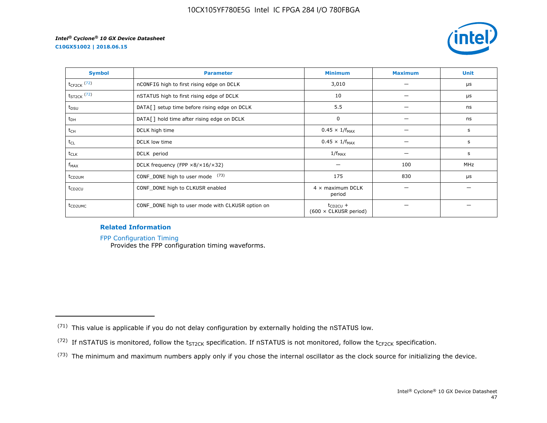

| <b>Symbol</b>           | <b>Parameter</b>                                     | <b>Minimum</b>                                | <b>Maximum</b> | <b>Unit</b> |
|-------------------------|------------------------------------------------------|-----------------------------------------------|----------------|-------------|
| $t_{\text{CF2CK}}$ (72) | nCONFIG high to first rising edge on DCLK            | 3,010                                         |                | $\mu$ s     |
| $t_{ST2CK}$ (72)        | nSTATUS high to first rising edge of DCLK            | 10                                            |                | μs          |
| $t_{DSU}$               | DATA[] setup time before rising edge on DCLK         | 5.5                                           |                | ns          |
| $t_{DH}$                | DATA[] hold time after rising edge on DCLK           | 0                                             |                | ns          |
| $t_{CH}$                | DCLK high time                                       | $0.45 \times 1/f_{MAX}$                       |                | s           |
| $t_{CL}$                | DCLK low time                                        | $0.45 \times 1/f_{MAX}$                       |                | s           |
| t <sub>CLK</sub>        | DCLK period                                          | $1/f_{MAX}$                                   |                | s           |
| $f_{MAX}$               | DCLK frequency (FPP $\times 8/\times 16/\times 32$ ) |                                               | 100            | MHz         |
| t <sub>CD2UM</sub>      | CONF_DONE high to user mode (73)                     | 175                                           | 830            | μs          |
| t <sub>CD2CU</sub>      | CONF_DONE high to CLKUSR enabled                     | $4 \times$ maximum DCLK<br>period             |                |             |
| t <sub>CD2UMC</sub>     | CONF_DONE high to user mode with CLKUSR option on    | $t_{CD2CU}$ +<br>$(600 \times$ CLKUSR period) |                |             |

#### **Related Information**

[FPP Configuration Timing](https://www.altera.com/documentation/vua1487061384661.html#sss1425901817612)

Provides the FPP configuration timing waveforms.

<sup>(71)</sup> This value is applicable if you do not delay configuration by externally holding the nSTATUS low.

<sup>(72)</sup> If nSTATUS is monitored, follow the  $t_{ST2CK}$  specification. If nSTATUS is not monitored, follow the  $t_{CF2CK}$  specification.

<sup>(73)</sup> The minimum and maximum numbers apply only if you chose the internal oscillator as the clock source for initializing the device.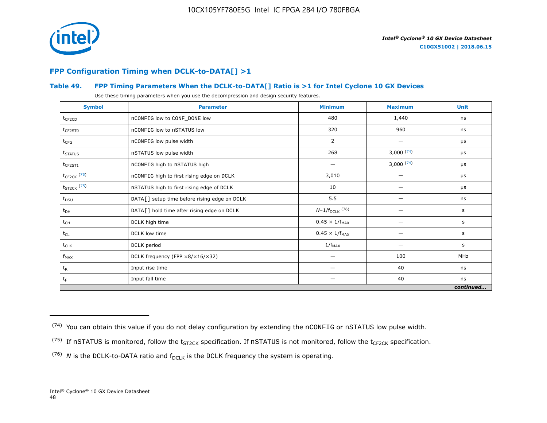

## **FPP Configuration Timing when DCLK-to-DATA[] >1**

## **Table 49. FPP Timing Parameters When the DCLK-to-DATA[] Ratio is >1 for Intel Cyclone 10 GX Devices**

Use these timing parameters when you use the decompression and design security features.

| <b>Symbol</b>           | <b>Parameter</b>                             | <b>Minimum</b>          | <b>Maximum</b> | <b>Unit</b> |
|-------------------------|----------------------------------------------|-------------------------|----------------|-------------|
| $t_{CF2CD}$             | nCONFIG low to CONF_DONE low                 | 480                     | 1,440          | ns          |
| $t_{CF2ST0}$            | nCONFIG low to nSTATUS low                   | 320                     | 960            | ns          |
| $t_{CFG}$               | nCONFIG low pulse width                      | 2                       |                | μs          |
| t <sub>STATUS</sub>     | nSTATUS low pulse width                      | 268                     | 3,000(74)      | μs          |
| $t_{CF2ST1}$            | nCONFIG high to nSTATUS high                 |                         | 3,000(74)      | μs          |
| $t_{\text{CF2CK}}$ (75) | nCONFIG high to first rising edge on DCLK    | 3,010                   |                | μs          |
| $t_{ST2CK}$ (75)        | nSTATUS high to first rising edge of DCLK    | 10                      |                | μs          |
| $t_{DSU}$               | DATA[] setup time before rising edge on DCLK | 5.5                     |                | ns          |
| $t_{DH}$                | DATA[] hold time after rising edge on DCLK   | $N-1/f_{DCLK}$ (76)     |                | s           |
| $t_{CH}$                | DCLK high time                               | $0.45 \times 1/f_{MAX}$ |                | s           |
| $t_{CL}$                | DCLK low time                                | $0.45 \times 1/f_{MAX}$ |                | s           |
| $t_{CLK}$               | DCLK period                                  | $1/f_{MAX}$             |                | s           |
| $f_{MAX}$               | DCLK frequency (FPP ×8/×16/×32)              | —                       | 100            | MHz         |
| $t_{R}$                 | Input rise time                              | —                       | 40             | ns          |
| $t_F$                   | Input fall time                              | —                       | 40             | ns          |
|                         |                                              |                         |                | continued   |

 $(74)$  You can obtain this value if you do not delay configuration by extending the nCONFIG or nSTATUS low pulse width.

<sup>&</sup>lt;sup>(75)</sup> If nSTATUS is monitored, follow the  $t_{ST2CK}$  specification. If nSTATUS is not monitored, follow the  $t_{CF2CK}$  specification.

<sup>(76)</sup> *N* is the DCLK-to-DATA ratio and  $f_{DCLK}$  is the DCLK frequency the system is operating.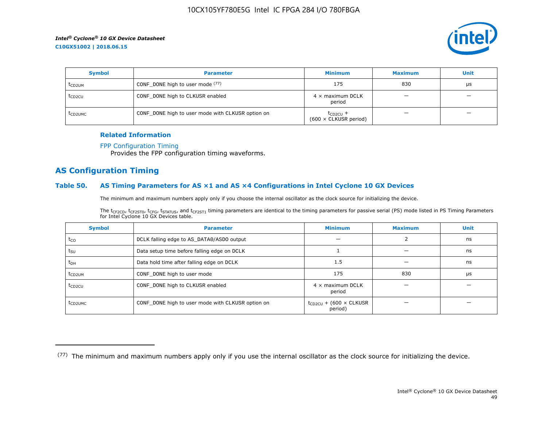

| <b>Symbol</b>       | <b>Parameter</b>                                  | <b>Minimum</b>                                | <b>Maximum</b> | <b>Unit</b> |
|---------------------|---------------------------------------------------|-----------------------------------------------|----------------|-------------|
| t <sub>CD2UM</sub>  | CONF_DONE high to user mode (77)                  | 175                                           | 830            | μs          |
| t <sub>CD2CU</sub>  | CONF_DONE high to CLKUSR enabled                  | $4 \times$ maximum DCLK<br>period             |                |             |
| t <sub>CD2UMC</sub> | CONF_DONE high to user mode with CLKUSR option on | $t_{CD2CU}$ +<br>$(600 \times$ CLKUSR period) |                |             |

#### **Related Information**

#### [FPP Configuration Timing](https://www.altera.com/documentation/vua1487061384661.html#sss1425901817612)

Provides the FPP configuration timing waveforms.

## **AS Configuration Timing**

#### **Table 50. AS Timing Parameters for AS ×1 and AS ×4 Configurations in Intel Cyclone 10 GX Devices**

The minimum and maximum numbers apply only if you choose the internal oscillator as the clock source for initializing the device.

The t<sub>CF2CD</sub>, t<sub>CF2ST0</sub>, t<sub>CFG</sub>, t<sub>STATUS</sub>, and t<sub>CF2ST1</sub> timing parameters are identical to the timing parameters for passive serial (PS) mode listed in PS Timing Parameters for Intel Cyclone 10 GX Devices table.

| <b>Symbol</b>       | <b>Parameter</b>                                  | <b>Minimum</b>                                | <b>Maximum</b> | <b>Unit</b> |
|---------------------|---------------------------------------------------|-----------------------------------------------|----------------|-------------|
| $t_{CO}$            | DCLK falling edge to AS_DATA0/ASDO output         |                                               |                | ns          |
| $t_{SU}$            | Data setup time before falling edge on DCLK       |                                               |                | ns          |
| $t_{DH}$            | Data hold time after falling edge on DCLK         | 1.5                                           |                | ns          |
| t <sub>CD2UM</sub>  | CONF_DONE high to user mode                       | 175                                           | 830            | μs          |
| $t_{CD2CU}$         | CONF_DONE high to CLKUSR enabled                  | $4 \times$ maximum DCLK<br>period             |                |             |
| t <sub>CD2UMC</sub> | CONF_DONE high to user mode with CLKUSR option on | $t_{CD2CU}$ + (600 $\times$ CLKUSR<br>period) |                |             |

<sup>(77)</sup> The minimum and maximum numbers apply only if you use the internal oscillator as the clock source for initializing the device.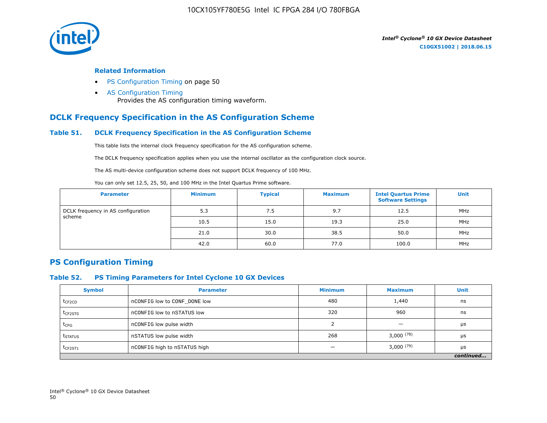

#### **Related Information**

- PS Configuration Timing on page 50
- [AS Configuration Timing](https://www.altera.com/documentation/vua1487061384661.html#sss1425901879133) Provides the AS configuration timing waveform.

## **DCLK Frequency Specification in the AS Configuration Scheme**

#### **Table 51. DCLK Frequency Specification in the AS Configuration Scheme**

This table lists the internal clock frequency specification for the AS configuration scheme.

The DCLK frequency specification applies when you use the internal oscillator as the configuration clock source.

The AS multi-device configuration scheme does not support DCLK frequency of 100 MHz.

You can only set 12.5, 25, 50, and 100 MHz in the Intel Quartus Prime software.

| <b>Parameter</b>                   | <b>Minimum</b> | <b>Typical</b> | <b>Maximum</b> | <b>Intel Quartus Prime</b><br><b>Software Settings</b> | <b>Unit</b> |
|------------------------------------|----------------|----------------|----------------|--------------------------------------------------------|-------------|
| DCLK frequency in AS configuration | 5.3            | 7.5            | 9.7            | 12.5                                                   | MHz         |
| scheme                             | 10.5           | 15.0           | 19.3           | 25.0                                                   | MHz         |
|                                    | 21.0           | 30.0           | 38.5           | 50.0                                                   | MHz         |
|                                    | 42.0           | 60.0           | 77.0           | 100.0                                                  | MHz         |

## **PS Configuration Timing**

#### **Table 52. PS Timing Parameters for Intel Cyclone 10 GX Devices**

| <b>Symbol</b>       | <b>Parameter</b>             | <b>Minimum</b> | <b>Maximum</b> | <b>Unit</b> |
|---------------------|------------------------------|----------------|----------------|-------------|
| $t_{CF2CD}$         | nCONFIG low to CONF DONE low | 480            | 1,440          | ns          |
| t <sub>CF2ST0</sub> | nCONFIG low to nSTATUS low   | 320            | 960            | ns          |
| $t_{CFG}$           | nCONFIG low pulse width      |                |                | μs          |
| t <sub>STATUS</sub> | nSTATUS low pulse width      | 268            | $3,000^{(78)}$ | μs          |
| $t_{CF2ST1}$        | nCONFIG high to nSTATUS high |                | $3,000^{(79)}$ | μs          |
|                     |                              |                |                | continued   |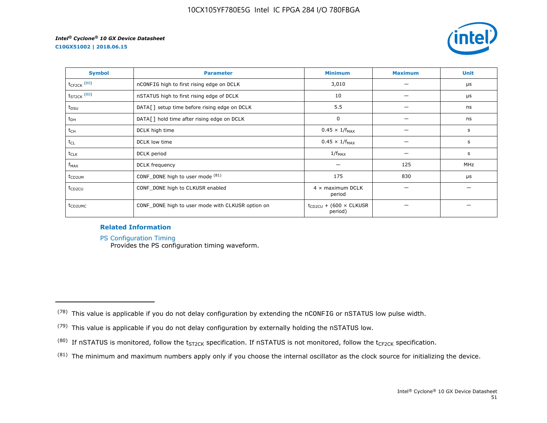**C10GX51002 | 2018.06.15**



| <b>Symbol</b>       | <b>Parameter</b>                                  | <b>Minimum</b>                                | <b>Maximum</b> | <b>Unit</b> |
|---------------------|---------------------------------------------------|-----------------------------------------------|----------------|-------------|
| $t_{CF2CK}$ (80)    | nCONFIG high to first rising edge on DCLK         | 3,010                                         |                | μs          |
| $t_{ST2CK}$ $(80)$  | nSTATUS high to first rising edge of DCLK         | 10                                            |                | μs          |
| t <sub>DSU</sub>    | DATA[] setup time before rising edge on DCLK      | 5.5                                           |                | ns          |
| $t_{DH}$            | DATA[] hold time after rising edge on DCLK        | 0                                             |                | ns          |
| t <sub>CH</sub>     | DCLK high time                                    | $0.45 \times 1/f_{MAX}$                       |                | s           |
| $t_{CL}$            | DCLK low time                                     | $0.45 \times 1/f_{MAX}$                       |                | s           |
| $t_{CLK}$           | DCLK period                                       | $1/f_{MAX}$                                   |                | s           |
| $f_{MAX}$           | DCLK frequency                                    |                                               | 125            | <b>MHz</b>  |
| t <sub>CD2UM</sub>  | CONF_DONE high to user mode (81)                  | 175                                           | 830            | μs          |
| $t_{CD2CU}$         | CONF_DONE high to CLKUSR enabled                  | $4 \times$ maximum DCLK<br>period             |                |             |
| t <sub>CD2UMC</sub> | CONF_DONE high to user mode with CLKUSR option on | $t_{CD2CU}$ + (600 $\times$ CLKUSR<br>period) |                |             |

#### **Related Information**

[PS Configuration Timing](https://www.altera.com/documentation/vua1487061384661.html#sss1425901911993)

Provides the PS configuration timing waveform.

 $(81)$  The minimum and maximum numbers apply only if you choose the internal oscillator as the clock source for initializing the device.

 $(78)$  This value is applicable if you do not delay configuration by extending the nCONFIG or nSTATUS low pulse width.

<sup>(79)</sup> This value is applicable if you do not delay configuration by externally holding the nSTATUS low.

<sup>(80)</sup> If nSTATUS is monitored, follow the  $t_{ST2CK}$  specification. If nSTATUS is not monitored, follow the  $t_{CF2CK}$  specification.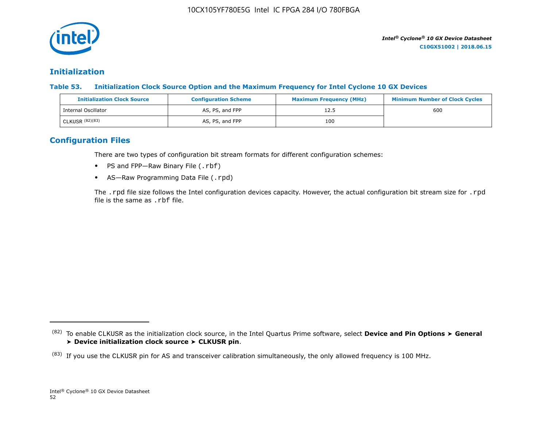

## **Initialization**

**Table 53. Initialization Clock Source Option and the Maximum Frequency for Intel Cyclone 10 GX Devices**

| <b>Initialization Clock Source</b> | <b>Configuration Scheme</b> | <b>Maximum Frequency (MHz)</b> | <b>Minimum Number of Clock Cycles</b> |
|------------------------------------|-----------------------------|--------------------------------|---------------------------------------|
| Internal Oscillator                | AS, PS, and FPP             | 12.5                           | 600                                   |
| CLKUSR (82)(83)                    | AS, PS, and FPP             | 100                            |                                       |

## **Configuration Files**

There are two types of configuration bit stream formats for different configuration schemes:

- PS and FPP-Raw Binary File (.rbf)
- AS-Raw Programming Data File (.rpd)

The .rpd file size follows the Intel configuration devices capacity. However, the actual configuration bit stream size for .rpd file is the same as .rbf file.

<sup>(82)</sup> To enable CLKUSR as the initialization clock source, in the Intel Quartus Prime software, select **Device and Pin Options** ➤ **General** ➤ **Device initialization clock source** ➤ **CLKUSR pin**.

 $(83)$  If you use the CLKUSR pin for AS and transceiver calibration simultaneously, the only allowed frequency is 100 MHz.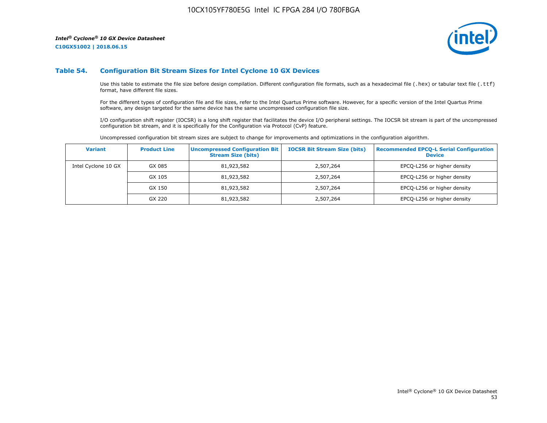**C10GX51002 | 2018.06.15**



#### **Table 54. Configuration Bit Stream Sizes for Intel Cyclone 10 GX Devices**

Use this table to estimate the file size before design compilation. Different configuration file formats, such as a hexadecimal file (.hex) or tabular text file (.ttf) format, have different file sizes.

For the different types of configuration file and file sizes, refer to the Intel Quartus Prime software. However, for a specific version of the Intel Quartus Prime software, any design targeted for the same device has the same uncompressed configuration file size.

I/O configuration shift register (IOCSR) is a long shift register that facilitates the device I/O peripheral settings. The IOCSR bit stream is part of the uncompressed configuration bit stream, and it is specifically for the Configuration via Protocol (CvP) feature.

Uncompressed configuration bit stream sizes are subject to change for improvements and optimizations in the configuration algorithm.

| <b>Variant</b>      | <b>Product Line</b> | <b>Uncompressed Configuration Bit</b><br><b>Stream Size (bits)</b> | <b>IOCSR Bit Stream Size (bits)</b> | <b>Recommended EPCO-L Serial Configuration</b><br><b>Device</b> |
|---------------------|---------------------|--------------------------------------------------------------------|-------------------------------------|-----------------------------------------------------------------|
| Intel Cyclone 10 GX | GX 085              | 81,923,582                                                         | 2,507,264                           | EPCQ-L256 or higher density                                     |
|                     | GX 105              | 81,923,582                                                         | 2,507,264                           | EPCQ-L256 or higher density                                     |
|                     | GX 150              | 81,923,582                                                         | 2,507,264                           | EPCQ-L256 or higher density                                     |
|                     | GX 220              | 81,923,582                                                         | 2,507,264                           | EPCQ-L256 or higher density                                     |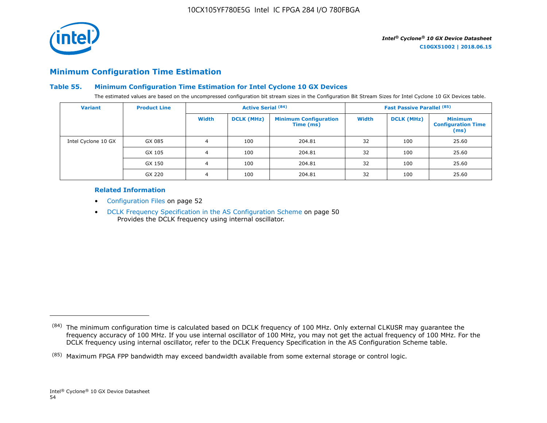

## **Minimum Configuration Time Estimation**

#### **Table 55. Minimum Configuration Time Estimation for Intel Cyclone 10 GX Devices**

The estimated values are based on the uncompressed configuration bit stream sizes in the Configuration Bit Stream Sizes for Intel Cyclone 10 GX Devices table.

| <b>Variant</b>      | <b>Product Line</b> | <b>Active Serial (84)</b> |                   |                                           |              | <b>Fast Passive Parallel (85)</b> |                                                     |
|---------------------|---------------------|---------------------------|-------------------|-------------------------------------------|--------------|-----------------------------------|-----------------------------------------------------|
|                     |                     | Width                     | <b>DCLK (MHz)</b> | <b>Minimum Configuration</b><br>Time (ms) | <b>Width</b> | <b>DCLK (MHz)</b>                 | <b>Minimum</b><br><b>Configuration Time</b><br>(ms) |
| Intel Cyclone 10 GX | GX 085              | 4                         | 100               | 204.81                                    | 32           | 100                               | 25.60                                               |
|                     | GX 105              | 4                         | 100               | 204.81                                    | 32           | 100                               | 25.60                                               |
|                     | GX 150              | 4                         | 100               | 204.81                                    | 32           | 100                               | 25.60                                               |
|                     | GX 220              | 4                         | 100               | 204.81                                    | 32           | 100                               | 25.60                                               |

#### **Related Information**

- Configuration Files on page 52
- DCLK Frequency Specification in the AS Configuration Scheme on page 50 Provides the DCLK frequency using internal oscillator.

<sup>(84)</sup> The minimum configuration time is calculated based on DCLK frequency of 100 MHz. Only external CLKUSR may guarantee the frequency accuracy of 100 MHz. If you use internal oscillator of 100 MHz, you may not get the actual frequency of 100 MHz. For the DCLK frequency using internal oscillator, refer to the DCLK Frequency Specification in the AS Configuration Scheme table.

<sup>(85)</sup> Maximum FPGA FPP bandwidth may exceed bandwidth available from some external storage or control logic.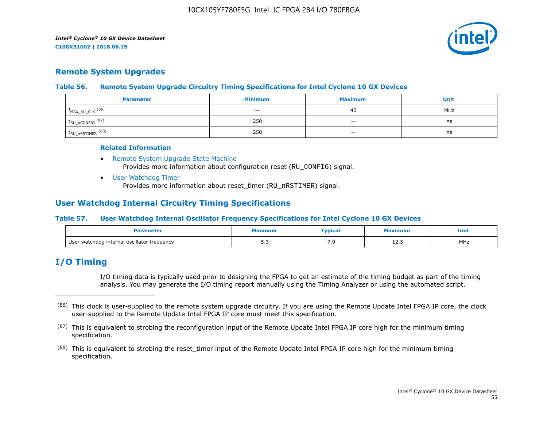

## **Remote System Upgrades**

#### **Table 56. Remote System Upgrade Circuitry Timing Specifications for Intel Cyclone 10 GX Devices**

| <b>Parameter</b>        | <b>Minimum</b>           | <b>Maximum</b>           | Unit |
|-------------------------|--------------------------|--------------------------|------|
| $f_{MAX_RU_CLK}$ (86)   | $\overline{\phantom{0}}$ | 40                       | MHz  |
| $t_{RU\_nCONFIG}$ (87)  | 250                      | $\overline{\phantom{0}}$ | ns   |
| $t_{RU\_nRSTIMER}$ (88) | 250                      | $\overline{\phantom{0}}$ | ns   |

#### **Related Information**

- [Remote System Upgrade State Machine](https://www.altera.com/documentation/vua1487061384661.html#sam1403483214821) Provides more information about configuration reset (RU\_CONFIG) signal.
- [User Watchdog Timer](https://www.altera.com/documentation/vua1487061384661.html#sam1403483217279) Provides more information about reset\_timer (RU\_nRSTIMER) signal.

## **User Watchdog Internal Circuitry Timing Specifications**

#### **Table 57. User Watchdog Internal Oscillator Frequency Specifications for Intel Cyclone 10 GX Devices**

|                                             | inimur       | "ypical" | cimum   | Unit |
|---------------------------------------------|--------------|----------|---------|------|
| User watchdog internal oscillator frequency | . .<br>ں ، ب |          | ر . ے 1 | MHz  |

## **I/O Timing**

I/O timing data is typically used prior to designing the FPGA to get an estimate of the timing budget as part of the timing analysis. You may generate the I/O timing report manually using the Timing Analyzer or using the automated script.

<sup>(86)</sup> This clock is user-supplied to the remote system upgrade circuitry. If you are using the Remote Update Intel FPGA IP core, the clock user-supplied to the Remote Update Intel FPGA IP core must meet this specification.

 $(87)$  This is equivalent to strobing the reconfiguration input of the Remote Update Intel FPGA IP core high for the minimum timing specification.

<sup>&</sup>lt;sup>(88)</sup> This is equivalent to strobing the reset\_timer input of the Remote Update Intel FPGA IP core high for the minimum timing specification.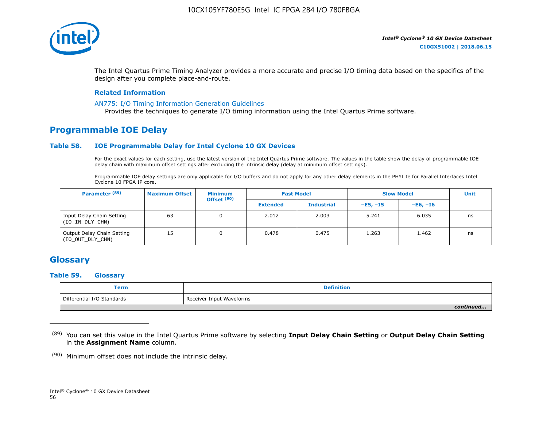

The Intel Quartus Prime Timing Analyzer provides a more accurate and precise I/O timing data based on the specifics of the design after you complete place-and-route.

#### **Related Information**

#### [AN775: I/O Timing Information Generation Guidelines](https://www.altera.com/documentation/brn1471986770305.html#obf1471988361539)

Provides the techniques to generate I/O timing information using the Intel Quartus Prime software.

## **Programmable IOE Delay**

#### **Table 58. IOE Programmable Delay for Intel Cyclone 10 GX Devices**

For the exact values for each setting, use the latest version of the Intel Quartus Prime software. The values in the table show the delay of programmable IOE delay chain with maximum offset settings after excluding the intrinsic delay (delay at minimum offset settings).

Programmable IOE delay settings are only applicable for I/O buffers and do not apply for any other delay elements in the PHYLite for Parallel Interfaces Intel Cyclone 10 FPGA IP core.

| Parameter <sup>(89)</sup>                      | <b>Maximum Offset</b> | <b>Minimum</b><br>Offset <sup>(90)</sup> |                 | <b>Fast Model</b> | <b>Slow Model</b> |            | <b>Unit</b> |
|------------------------------------------------|-----------------------|------------------------------------------|-----------------|-------------------|-------------------|------------|-------------|
|                                                |                       |                                          | <b>Extended</b> | <b>Industrial</b> | $-E5. -15$        | $-E6. -I6$ |             |
| Input Delay Chain Setting<br>(IO_IN_DLY_CHN)   | 63                    | 0                                        | 2.012           | 2.003             | 5.241             | 6.035      | ns          |
| Output Delay Chain Setting<br>(IO_OUT_DLY_CHN) | 15                    |                                          | 0.478           | 0.475             | 1.263             | 1.462      | ns          |

## **Glossary**

#### **Table 59. Glossary**

| <b>Term</b>                | <b>Definition</b>        |
|----------------------------|--------------------------|
| Differential I/O Standards | Receiver Input Waveforms |
|                            | continued                |

<sup>(89)</sup> You can set this value in the Intel Quartus Prime software by selecting **Input Delay Chain Setting** or **Output Delay Chain Setting** in the **Assignment Name** column.

(90) Minimum offset does not include the intrinsic delay.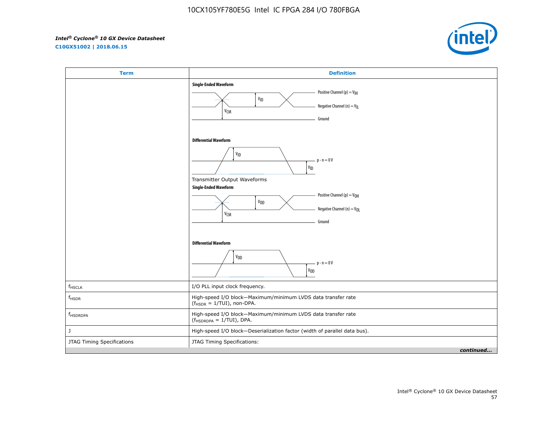**C10GX51002 | 2018.06.15**



| <b>Term</b>                | <b>Definition</b>                                                                                                                                                |
|----------------------------|------------------------------------------------------------------------------------------------------------------------------------------------------------------|
|                            | <b>Single-Ended Waveform</b><br>Positive Channel (p) = $V_{\text{IH}}$<br>V <sub>ID</sub><br>Negative Channel (n) = $V_{\parallel}$<br>V <sub>CM</sub><br>Ground |
|                            | <b>Differential Waveform</b><br>V <sub>ID</sub><br>$p - n = 0V$<br>$\mathsf{v}_{\mathsf{ID}}$<br>Transmitter Output Waveforms<br><b>Single-Ended Waveform</b>    |
|                            | Positive Channel (p) = $V_{OH}$<br>V <sub>OD</sub><br>Negative Channel (n) = V <sub>OL</sub><br>V <sub>CM</sub><br>Ground                                        |
|                            | <b>Differential Waveform</b><br>V <sub>OD</sub><br>$p - n = 0V$<br>$V_{OD}$                                                                                      |
| $f_{HSCLK}$                | I/O PLL input clock frequency.                                                                                                                                   |
| $f_{HSDR}$                 | High-speed I/O block-Maximum/minimum LVDS data transfer rate<br>$(fHSDR = 1/TUI)$ , non-DPA.                                                                     |
| f <sub>HSDRDPA</sub>       | High-speed I/O block-Maximum/minimum LVDS data transfer rate<br>$(f_{HSDRDPA} = 1/TUI)$ , DPA.                                                                   |
| J                          | High-speed I/O block-Deserialization factor (width of parallel data bus).                                                                                        |
| JTAG Timing Specifications | JTAG Timing Specifications:                                                                                                                                      |
|                            | continued                                                                                                                                                        |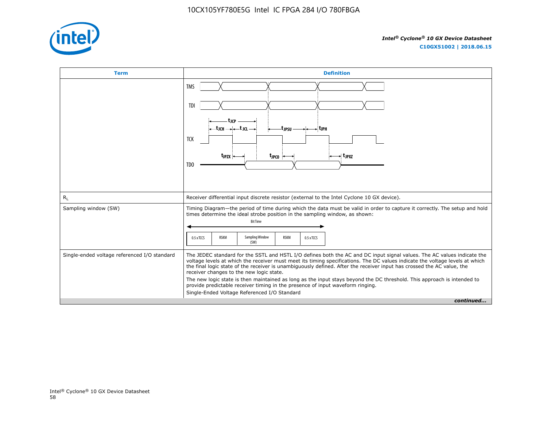

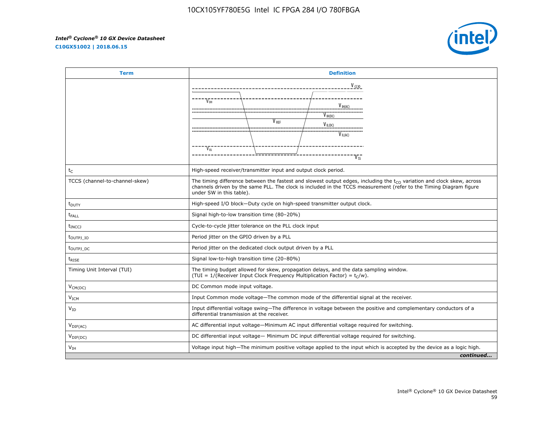**C10GX51002 | 2018.06.15**



| <b>Term</b>                      | <b>Definition</b>                                                                                                                                                                                                                                                             |                  |                             |           |
|----------------------------------|-------------------------------------------------------------------------------------------------------------------------------------------------------------------------------------------------------------------------------------------------------------------------------|------------------|-----------------------------|-----------|
|                                  |                                                                                                                                                                                                                                                                               |                  | $V_{CCD}$                   |           |
|                                  | V <sub>OH</sub>                                                                                                                                                                                                                                                               |                  | V ih(ac)                    |           |
|                                  |                                                                                                                                                                                                                                                                               | V <sub>RFF</sub> | $V_{H(DC)}$<br>$V_{IL(DC)}$ |           |
|                                  |                                                                                                                                                                                                                                                                               |                  | $V_{IL(AC)}$                |           |
|                                  | $V_{01}$                                                                                                                                                                                                                                                                      |                  |                             |           |
| $t_C$                            | High-speed receiver/transmitter input and output clock period.                                                                                                                                                                                                                |                  |                             |           |
| TCCS (channel-to-channel-skew)   | The timing difference between the fastest and slowest output edges, including the $t_{CO}$ variation and clock skew, across<br>channels driven by the same PLL. The clock is included in the TCCS measurement (refer to the Timing Diagram figure<br>under SW in this table). |                  |                             |           |
| $t_{\text{DUTY}}$                | High-speed I/O block-Duty cycle on high-speed transmitter output clock.                                                                                                                                                                                                       |                  |                             |           |
| $t_{FAIL}$                       | Signal high-to-low transition time (80-20%)                                                                                                                                                                                                                                   |                  |                             |           |
| <b>t</b> <sub>INCCJ</sub>        | Cycle-to-cycle jitter tolerance on the PLL clock input                                                                                                                                                                                                                        |                  |                             |           |
| t <sub>outpj</sub> <sub>to</sub> | Period jitter on the GPIO driven by a PLL                                                                                                                                                                                                                                     |                  |                             |           |
| t <sub>outpj</sub> <sub>DC</sub> | Period jitter on the dedicated clock output driven by a PLL                                                                                                                                                                                                                   |                  |                             |           |
| $t_{RISE}$                       | Signal low-to-high transition time (20-80%)                                                                                                                                                                                                                                   |                  |                             |           |
| Timing Unit Interval (TUI)       | The timing budget allowed for skew, propagation delays, and the data sampling window.<br>(TUI = $1/(Receiver Input Clock Frequency Multiplication Factor) = tC/w)$ .                                                                                                          |                  |                             |           |
| $V_{CM(DC)}$                     | DC Common mode input voltage.                                                                                                                                                                                                                                                 |                  |                             |           |
| V <sub>ICM</sub>                 | Input Common mode voltage—The common mode of the differential signal at the receiver.                                                                                                                                                                                         |                  |                             |           |
| $V_{ID}$                         | Input differential voltage swing-The difference in voltage between the positive and complementary conductors of a<br>differential transmission at the receiver.                                                                                                               |                  |                             |           |
| $V_{\text{DIF(AC)}}$             | AC differential input voltage-Minimum AC input differential voltage required for switching.                                                                                                                                                                                   |                  |                             |           |
| $V_{\text{DIF(DC)}}$             | DC differential input voltage— Minimum DC input differential voltage required for switching.                                                                                                                                                                                  |                  |                             |           |
| V <sub>IH</sub>                  | Voltage input high—The minimum positive voltage applied to the input which is accepted by the device as a logic high.                                                                                                                                                         |                  |                             |           |
|                                  |                                                                                                                                                                                                                                                                               |                  |                             | continued |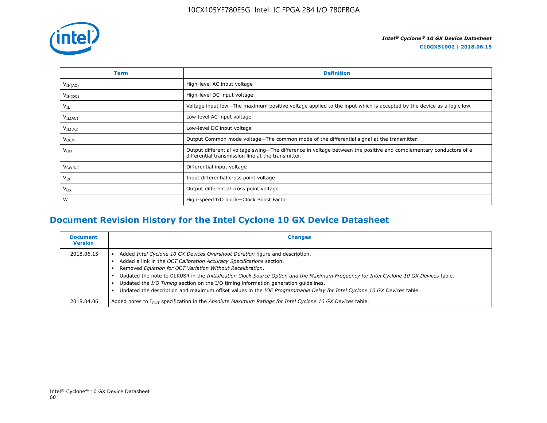

| Term                | <b>Definition</b>                                                                                                                                                        |
|---------------------|--------------------------------------------------------------------------------------------------------------------------------------------------------------------------|
| V <sub>IH(AC)</sub> | High-level AC input voltage                                                                                                                                              |
| $V_{IH(DC)}$        | High-level DC input voltage                                                                                                                                              |
| $V_{IL}$            | Voltage input low—The maximum positive voltage applied to the input which is accepted by the device as a logic low.                                                      |
| $V_{IL(AC)}$        | Low-level AC input voltage                                                                                                                                               |
| $V_{IL(DC)}$        | Low-level DC input voltage                                                                                                                                               |
| V <sub>OCM</sub>    | Output Common mode voltage—The common mode of the differential signal at the transmitter.                                                                                |
| $V_{OD}$            | Output differential voltage swing—The difference in voltage between the positive and complementary conductors of a<br>differential transmission line at the transmitter. |
| V <sub>SWING</sub>  | Differential input voltage                                                                                                                                               |
| $V_{IX}$            | Input differential cross point voltage                                                                                                                                   |
| $V_{OX}$            | Output differential cross point voltage                                                                                                                                  |
| W                   | High-speed I/O block-Clock Boost Factor                                                                                                                                  |

# **Document Revision History for the Intel Cyclone 10 GX Device Datasheet**

| <b>Document</b><br><b>Version</b> | <b>Changes</b>                                                                                                                                                                                                                                                                                                                                                                                                                                                                                                                                                              |
|-----------------------------------|-----------------------------------------------------------------------------------------------------------------------------------------------------------------------------------------------------------------------------------------------------------------------------------------------------------------------------------------------------------------------------------------------------------------------------------------------------------------------------------------------------------------------------------------------------------------------------|
| 2018.06.15                        | Added Intel Cyclone 10 GX Devices Overshoot Duration figure and description.<br>Added a link in the OCT Calibration Accuracy Specifications section.<br>Removed Equation for OCT Variation Without Recalibration.<br>Updated the note to CLKUSR in the Initialization Clock Source Option and the Maximum Frequency for Intel Cyclone 10 GX Devices table.<br>Updated the I/O Timing section on the I/O timing information generation quidelines.<br>Updated the description and maximum offset values in the IOE Programmable Delay for Intel Cyclone 10 GX Devices table. |
| 2018.04.06                        | Added notes to $I_{OII}$ specification in the Absolute Maximum Ratings for Intel Cyclone 10 GX Devices table.                                                                                                                                                                                                                                                                                                                                                                                                                                                               |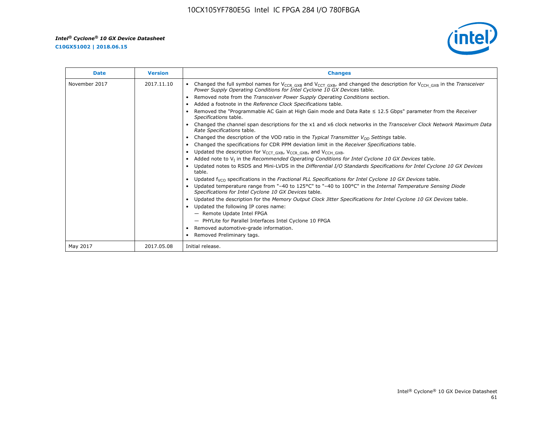**C10GX51002 | 2018.06.15**



| <b>Date</b>   | <b>Version</b> | <b>Changes</b>                                                                                                                                                                                                                        |
|---------------|----------------|---------------------------------------------------------------------------------------------------------------------------------------------------------------------------------------------------------------------------------------|
| November 2017 | 2017.11.10     | Changed the full symbol names for V <sub>CCR_GXB</sub> and V <sub>CCT_GXB</sub> , and changed the description for V <sub>CCH_GXB</sub> in the Transceiver<br>Power Supply Operating Conditions for Intel Cyclone 10 GX Devices table. |
|               |                | Removed note from the Transceiver Power Supply Operating Conditions section.                                                                                                                                                          |
|               |                | Added a footnote in the Reference Clock Specifications table.                                                                                                                                                                         |
|               |                | Removed the "Programmable AC Gain at High Gain mode and Data Rate $\leq$ 12.5 Gbps" parameter from the Receiver<br>Specifications table.                                                                                              |
|               |                | Changed the channel span descriptions for the x1 and x6 clock networks in the Transceiver Clock Network Maximum Data<br>Rate Specifications table.                                                                                    |
|               |                | Changed the description of the VOD ratio in the Typical Transmitter $V_{OD}$ Settings table.                                                                                                                                          |
|               |                | Changed the specifications for CDR PPM deviation limit in the Receiver Specifications table.                                                                                                                                          |
|               |                | Updated the description for V <sub>CCT_GXB</sub> , V <sub>CCR_GXB</sub> , and V <sub>CCH_GXB</sub> .<br>$\bullet$                                                                                                                     |
|               |                | Added note to $V1$ in the Recommended Operating Conditions for Intel Cyclone 10 GX Devices table.                                                                                                                                     |
|               |                | Updated notes to RSDS and Mini-LVDS in the Differential I/O Standards Specifications for Intel Cyclone 10 GX Devices<br>table.                                                                                                        |
|               |                | Updated f <sub>VCO</sub> specifications in the Fractional PLL Specifications for Intel Cyclone 10 GX Devices table.                                                                                                                   |
|               |                | Updated temperature range from "-40 to 125°C" to "-40 to 100°C" in the Internal Temperature Sensing Diode<br>Specifications for Intel Cyclone 10 GX Devices table.                                                                    |
|               |                | Updated the description for the Memory Output Clock Jitter Specifications for Intel Cyclone 10 GX Devices table.                                                                                                                      |
|               |                | Updated the following IP cores name:<br>$\bullet$                                                                                                                                                                                     |
|               |                | - Remote Update Intel FPGA                                                                                                                                                                                                            |
|               |                | - PHYLite for Parallel Interfaces Intel Cyclone 10 FPGA                                                                                                                                                                               |
|               |                | Removed automotive-grade information.                                                                                                                                                                                                 |
|               |                | Removed Preliminary tags.                                                                                                                                                                                                             |
| May 2017      | 2017.05.08     | Initial release.                                                                                                                                                                                                                      |